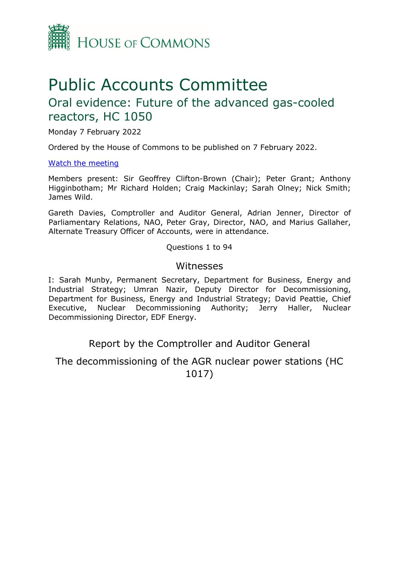

# Public Accounts Committee

# Oral evidence: Future of the advanced gas-cooled reactors, HC 1050

Monday 7 February 2022

Ordered by the House of Commons to be published on 7 February 2022.

[Watch the meeting](https://parliamentlive.tv/event/index/9a9e2711-d801-4bc3-bee2-4eac57fc312b?in=16:00:06)

Members present: Sir Geoffrey Clifton-Brown (Chair); Peter Grant; Anthony Higginbotham; Mr Richard Holden; Craig Mackinlay; Sarah Olney; Nick Smith; James Wild.

Gareth Davies, Comptroller and Auditor General, Adrian Jenner, Director of Parliamentary Relations, NAO, Peter Gray, Director, NAO, and Marius Gallaher, Alternate Treasury Officer of Accounts, were in attendance.

Questions 1 to 94

## Witnesses

I: Sarah Munby, Permanent Secretary, Department for Business, Energy and Industrial Strategy; Umran Nazir, Deputy Director for Decommissioning, Department for Business, Energy and Industrial Strategy; David Peattie, Chief Executive, Nuclear Decommissioning Authority; Jerry Haller, Nuclear Decommissioning Director, EDF Energy.

Report by the Comptroller and Auditor General

The decommissioning of the AGR nuclear power stations (HC 1017)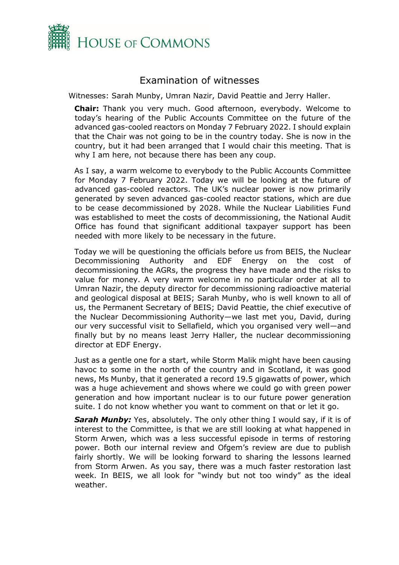

# Examination of witnesses

Witnesses: Sarah Munby, Umran Nazir, David Peattie and Jerry Haller.

**Chair:** Thank you very much. Good afternoon, everybody. Welcome to today's hearing of the Public Accounts Committee on the future of the advanced gas-cooled reactors on Monday 7 February 2022. I should explain that the Chair was not going to be in the country today. She is now in the country, but it had been arranged that I would chair this meeting. That is why I am here, not because there has been any coup.

As I say, a warm welcome to everybody to the Public Accounts Committee for Monday 7 February 2022. Today we will be looking at the future of advanced gas-cooled reactors. The UK's nuclear power is now primarily generated by seven advanced gas-cooled reactor stations, which are due to be cease decommissioned by 2028. While the Nuclear Liabilities Fund was established to meet the costs of decommissioning, the National Audit Office has found that significant additional taxpayer support has been needed with more likely to be necessary in the future.

Today we will be questioning the officials before us from BEIS, the Nuclear Decommissioning Authority and EDF Energy on the cost of decommissioning the AGRs, the progress they have made and the risks to value for money. A very warm welcome in no particular order at all to Umran Nazir, the deputy director for decommissioning radioactive material and geological disposal at BEIS; Sarah Munby, who is well known to all of us, the Permanent Secretary of BEIS; David Peattie, the chief executive of the Nuclear Decommissioning Authority—we last met you, David, during our very successful visit to Sellafield, which you organised very well—and finally but by no means least Jerry Haller, the nuclear decommissioning director at EDF Energy.

Just as a gentle one for a start, while Storm Malik might have been causing havoc to some in the north of the country and in Scotland, it was good news, Ms Munby, that it generated a record 19.5 gigawatts of power, which was a huge achievement and shows where we could go with green power generation and how important nuclear is to our future power generation suite. I do not know whether you want to comment on that or let it go.

*Sarah Munby:* Yes, absolutely. The only other thing I would say, if it is of interest to the Committee, is that we are still looking at what happened in Storm Arwen, which was a less successful episode in terms of restoring power. Both our internal review and Ofgem's review are due to publish fairly shortly. We will be looking forward to sharing the lessons learned from Storm Arwen. As you say, there was a much faster restoration last week. In BEIS, we all look for "windy but not too windy" as the ideal weather.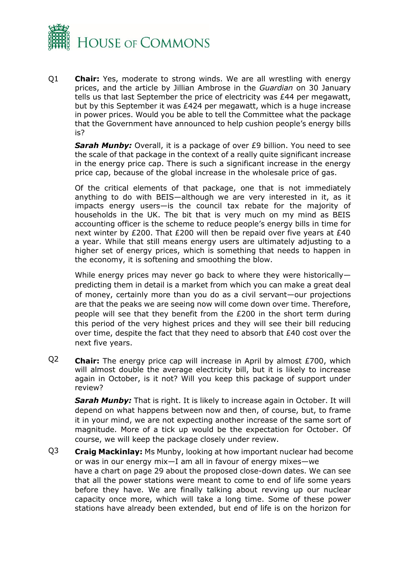

Q1 **Chair:** Yes, moderate to strong winds. We are all wrestling with energy prices, and the article by Jillian Ambrose in the *Guardian* on 30 January tells us that last September the price of electricity was £44 per megawatt, but by this September it was £424 per megawatt, which is a huge increase in power prices. Would you be able to tell the Committee what the package that the Government have announced to help cushion people's energy bills is?

*Sarah Munby:* Overall, it is a package of over £9 billion. You need to see the scale of that package in the context of a really quite significant increase in the energy price cap. There is such a significant increase in the energy price cap, because of the global increase in the wholesale price of gas.

Of the critical elements of that package, one that is not immediately anything to do with BEIS—although we are very interested in it, as it impacts energy users—is the council tax rebate for the majority of households in the UK. The bit that is very much on my mind as BEIS accounting officer is the scheme to reduce people's energy bills in time for next winter by £200. That £200 will then be repaid over five years at £40 a year. While that still means energy users are ultimately adjusting to a higher set of energy prices, which is something that needs to happen in the economy, it is softening and smoothing the blow.

While energy prices may never go back to where they were historically predicting them in detail is a market from which you can make a great deal of money, certainly more than you do as a civil servant—our projections are that the peaks we are seeing now will come down over time. Therefore, people will see that they benefit from the £200 in the short term during this period of the very highest prices and they will see their bill reducing over time, despite the fact that they need to absorb that  $£40$  cost over the next five years.

Q2 **Chair:** The energy price cap will increase in April by almost £700, which will almost double the average electricity bill, but it is likely to increase again in October, is it not? Will you keep this package of support under review?

*Sarah Munby:* That is right. It is likely to increase again in October. It will depend on what happens between now and then, of course, but, to frame it in your mind, we are not expecting another increase of the same sort of magnitude. More of a tick up would be the expectation for October. Of course, we will keep the package closely under review.

Q3 **Craig Mackinlay:** Ms Munby, looking at how important nuclear had become or was in our energy mix—I am all in favour of energy mixes—we have a chart on page 29 about the proposed close-down dates. We can see that all the power stations were meant to come to end of life some years before they have. We are finally talking about revving up our nuclear capacity once more, which will take a long time. Some of these power stations have already been extended, but end of life is on the horizon for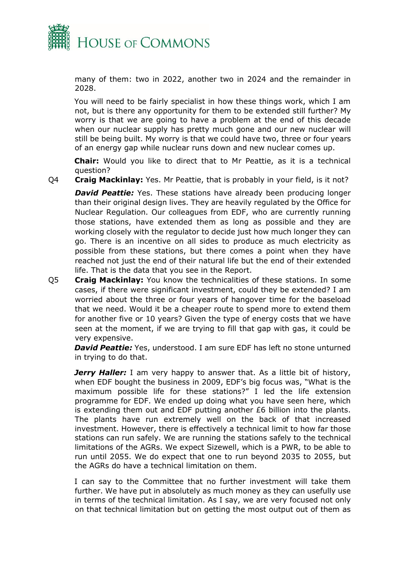

many of them: two in 2022, another two in 2024 and the remainder in 2028.

You will need to be fairly specialist in how these things work, which I am not, but is there any opportunity for them to be extended still further? My worry is that we are going to have a problem at the end of this decade when our nuclear supply has pretty much gone and our new nuclear will still be being built. My worry is that we could have two, three or four years of an energy gap while nuclear runs down and new nuclear comes up.

**Chair:** Would you like to direct that to Mr Peattie, as it is a technical question?

Q4 **Craig Mackinlay:** Yes. Mr Peattie, that is probably in your field, is it not?

**David Peattie:** Yes. These stations have already been producing longer than their original design lives. They are heavily regulated by the Office for Nuclear Regulation. Our colleagues from EDF, who are currently running those stations, have extended them as long as possible and they are working closely with the regulator to decide just how much longer they can go. There is an incentive on all sides to produce as much electricity as possible from these stations, but there comes a point when they have reached not just the end of their natural life but the end of their extended life. That is the data that you see in the Report.

Q5 **Craig Mackinlay:** You know the technicalities of these stations. In some cases, if there were significant investment, could they be extended? I am worried about the three or four years of hangover time for the baseload that we need. Would it be a cheaper route to spend more to extend them for another five or 10 years? Given the type of energy costs that we have seen at the moment, if we are trying to fill that gap with gas, it could be very expensive.

*David Peattie:* Yes, understood. I am sure EDF has left no stone unturned in trying to do that.

*Jerry Haller:* I am very happy to answer that. As a little bit of history, when EDF bought the business in 2009, EDF's big focus was, "What is the maximum possible life for these stations?" I led the life extension programme for EDF. We ended up doing what you have seen here, which is extending them out and EDF putting another £6 billion into the plants. The plants have run extremely well on the back of that increased investment. However, there is effectively a technical limit to how far those stations can run safely. We are running the stations safely to the technical limitations of the AGRs. We expect Sizewell, which is a PWR, to be able to run until 2055. We do expect that one to run beyond 2035 to 2055, but the AGRs do have a technical limitation on them.

I can say to the Committee that no further investment will take them further. We have put in absolutely as much money as they can usefully use in terms of the technical limitation. As I say, we are very focused not only on that technical limitation but on getting the most output out of them as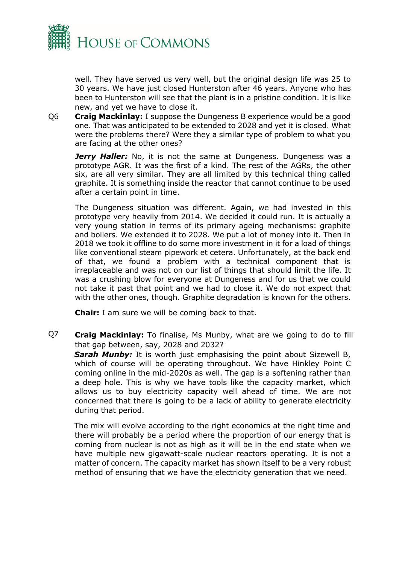

well. They have served us very well, but the original design life was 25 to 30 years. We have just closed Hunterston after 46 years. Anyone who has been to Hunterston will see that the plant is in a pristine condition. It is like new, and yet we have to close it.

Q6 **Craig Mackinlay:** I suppose the Dungeness B experience would be a good one. That was anticipated to be extended to 2028 and yet it is closed. What were the problems there? Were they a similar type of problem to what you are facing at the other ones?

*Jerry Haller:* No, it is not the same at Dungeness. Dungeness was a prototype AGR. It was the first of a kind. The rest of the AGRs, the other six, are all very similar. They are all limited by this technical thing called graphite. It is something inside the reactor that cannot continue to be used after a certain point in time.

The Dungeness situation was different. Again, we had invested in this prototype very heavily from 2014. We decided it could run. It is actually a very young station in terms of its primary ageing mechanisms: graphite and boilers. We extended it to 2028. We put a lot of money into it. Then in 2018 we took it offline to do some more investment in it for a load of things like conventional steam pipework et cetera. Unfortunately, at the back end of that, we found a problem with a technical component that is irreplaceable and was not on our list of things that should limit the life. It was a crushing blow for everyone at Dungeness and for us that we could not take it past that point and we had to close it. We do not expect that with the other ones, though. Graphite degradation is known for the others.

**Chair:** I am sure we will be coming back to that.

Q7 **Craig Mackinlay:** To finalise, Ms Munby, what are we going to do to fill that gap between, say, 2028 and 2032?

**Sarah Munby:** It is worth just emphasising the point about Sizewell B, which of course will be operating throughout. We have Hinkley Point C coming online in the mid-2020s as well. The gap is a softening rather than a deep hole. This is why we have tools like the capacity market, which allows us to buy electricity capacity well ahead of time. We are not concerned that there is going to be a lack of ability to generate electricity during that period.

The mix will evolve according to the right economics at the right time and there will probably be a period where the proportion of our energy that is coming from nuclear is not as high as it will be in the end state when we have multiple new gigawatt-scale nuclear reactors operating. It is not a matter of concern. The capacity market has shown itself to be a very robust method of ensuring that we have the electricity generation that we need.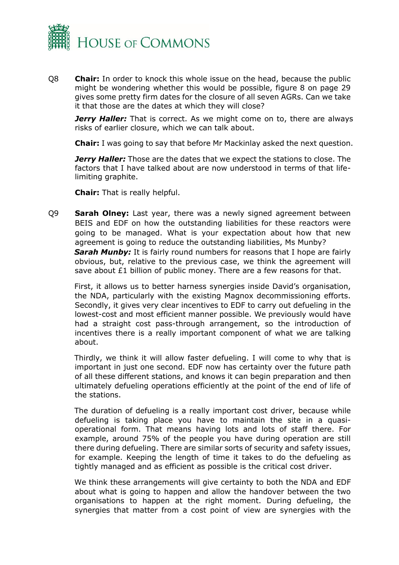

Q8 **Chair:** In order to knock this whole issue on the head, because the public might be wondering whether this would be possible, figure 8 on page 29 gives some pretty firm dates for the closure of all seven AGRs. Can we take it that those are the dates at which they will close?

**Jerry Haller:** That is correct. As we might come on to, there are always risks of earlier closure, which we can talk about.

**Chair:** I was going to say that before Mr Mackinlay asked the next question.

*Jerry Haller:* Those are the dates that we expect the stations to close. The factors that I have talked about are now understood in terms of that lifelimiting graphite.

**Chair:** That is really helpful.

Q9 **Sarah Olney:** Last year, there was a newly signed agreement between BEIS and EDF on how the outstanding liabilities for these reactors were going to be managed. What is your expectation about how that new agreement is going to reduce the outstanding liabilities, Ms Munby? **Sarah Munby:** It is fairly round numbers for reasons that I hope are fairly obvious, but, relative to the previous case, we think the agreement will save about £1 billion of public money. There are a few reasons for that.

First, it allows us to better harness synergies inside David's organisation, the NDA, particularly with the existing Magnox decommissioning efforts. Secondly, it gives very clear incentives to EDF to carry out defueling in the lowest-cost and most efficient manner possible. We previously would have had a straight cost pass-through arrangement, so the introduction of incentives there is a really important component of what we are talking about.

Thirdly, we think it will allow faster defueling. I will come to why that is important in just one second. EDF now has certainty over the future path of all these different stations, and knows it can begin preparation and then ultimately defueling operations efficiently at the point of the end of life of the stations.

The duration of defueling is a really important cost driver, because while defueling is taking place you have to maintain the site in a quasioperational form. That means having lots and lots of staff there. For example, around 75% of the people you have during operation are still there during defueling. There are similar sorts of security and safety issues, for example. Keeping the length of time it takes to do the defueling as tightly managed and as efficient as possible is the critical cost driver.

We think these arrangements will give certainty to both the NDA and EDF about what is going to happen and allow the handover between the two organisations to happen at the right moment. During defueling, the synergies that matter from a cost point of view are synergies with the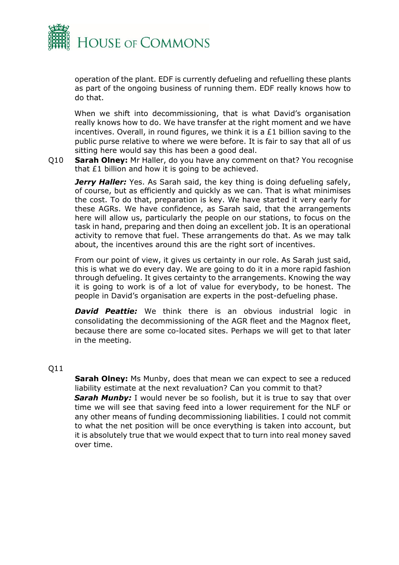

operation of the plant. EDF is currently defueling and refuelling these plants as part of the ongoing business of running them. EDF really knows how to do that.

When we shift into decommissioning, that is what David's organisation really knows how to do. We have transfer at the right moment and we have incentives. Overall, in round figures, we think it is a £1 billion saving to the public purse relative to where we were before. It is fair to say that all of us sitting here would say this has been a good deal.

Q10 **Sarah Olney:** Mr Haller, do you have any comment on that? You recognise that £1 billion and how it is going to be achieved.

*Jerry Haller:* Yes. As Sarah said, the key thing is doing defueling safely, of course, but as efficiently and quickly as we can. That is what minimises the cost. To do that, preparation is key. We have started it very early for these AGRs. We have confidence, as Sarah said, that the arrangements here will allow us, particularly the people on our stations, to focus on the task in hand, preparing and then doing an excellent job. It is an operational activity to remove that fuel. These arrangements do that. As we may talk about, the incentives around this are the right sort of incentives.

From our point of view, it gives us certainty in our role. As Sarah just said, this is what we do every day. We are going to do it in a more rapid fashion through defueling. It gives certainty to the arrangements. Knowing the way it is going to work is of a lot of value for everybody, to be honest. The people in David's organisation are experts in the post-defueling phase.

**David Peattie:** We think there is an obvious industrial logic in consolidating the decommissioning of the AGR fleet and the Magnox fleet, because there are some co-located sites. Perhaps we will get to that later in the meeting.

#### Q11

**Sarah Olney:** Ms Munby, does that mean we can expect to see a reduced liability estimate at the next revaluation? Can you commit to that? **Sarah Munby:** I would never be so foolish, but it is true to say that over time we will see that saving feed into a lower requirement for the NLF or any other means of funding decommissioning liabilities. I could not commit to what the net position will be once everything is taken into account, but it is absolutely true that we would expect that to turn into real money saved over time.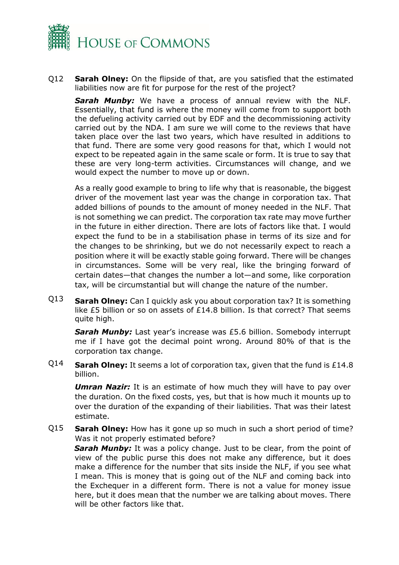

Q12 **Sarah Olney:** On the flipside of that, are you satisfied that the estimated liabilities now are fit for purpose for the rest of the project?

*Sarah Munby:* We have a process of annual review with the NLF. Essentially, that fund is where the money will come from to support both the defueling activity carried out by EDF and the decommissioning activity carried out by the NDA. I am sure we will come to the reviews that have taken place over the last two years, which have resulted in additions to that fund. There are some very good reasons for that, which I would not expect to be repeated again in the same scale or form. It is true to say that these are very long-term activities. Circumstances will change, and we would expect the number to move up or down.

As a really good example to bring to life why that is reasonable, the biggest driver of the movement last year was the change in corporation tax. That added billions of pounds to the amount of money needed in the NLF. That is not something we can predict. The corporation tax rate may move further in the future in either direction. There are lots of factors like that. I would expect the fund to be in a stabilisation phase in terms of its size and for the changes to be shrinking, but we do not necessarily expect to reach a position where it will be exactly stable going forward. There will be changes in circumstances. Some will be very real, like the bringing forward of certain dates—that changes the number a lot—and some, like corporation tax, will be circumstantial but will change the nature of the number.

Q13 **Sarah Olney:** Can I quickly ask you about corporation tax? It is something like £5 billion or so on assets of £14.8 billion. Is that correct? That seems quite high.

*Sarah Munby:* Last year's increase was £5.6 billion. Somebody interrupt me if I have got the decimal point wrong. Around 80% of that is the corporation tax change.

Q14 **Sarah Olney:** It seems a lot of corporation tax, given that the fund is £14.8 billion.

**Umran Nazir:** It is an estimate of how much they will have to pay over the duration. On the fixed costs, yes, but that is how much it mounts up to over the duration of the expanding of their liabilities. That was their latest estimate.

Q15 **Sarah Olney:** How has it gone up so much in such a short period of time? Was it not properly estimated before?

**Sarah Munby:** It was a policy change. Just to be clear, from the point of view of the public purse this does not make any difference, but it does make a difference for the number that sits inside the NLF, if you see what I mean. This is money that is going out of the NLF and coming back into the Exchequer in a different form. There is not a value for money issue here, but it does mean that the number we are talking about moves. There will be other factors like that.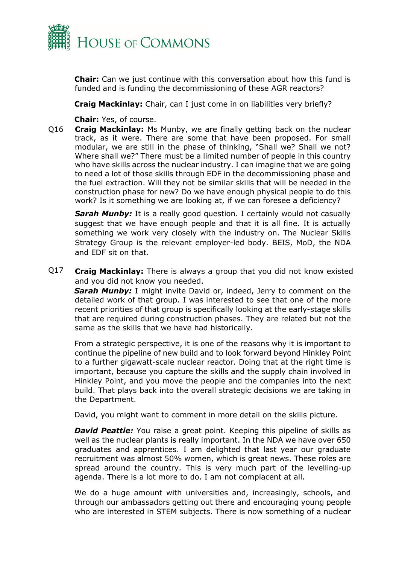

**Chair:** Can we just continue with this conversation about how this fund is funded and is funding the decommissioning of these AGR reactors?

**Craig Mackinlay:** Chair, can I just come in on liabilities very briefly?

**Chair:** Yes, of course.

Q16 **Craig Mackinlay:** Ms Munby, we are finally getting back on the nuclear track, as it were. There are some that have been proposed. For small modular, we are still in the phase of thinking, "Shall we? Shall we not? Where shall we?" There must be a limited number of people in this country who have skills across the nuclear industry. I can imagine that we are going to need a lot of those skills through EDF in the decommissioning phase and the fuel extraction. Will they not be similar skills that will be needed in the construction phase for new? Do we have enough physical people to do this work? Is it something we are looking at, if we can foresee a deficiency?

**Sarah Munby:** It is a really good question. I certainly would not casually suggest that we have enough people and that it is all fine. It is actually something we work very closely with the industry on. The Nuclear Skills Strategy Group is the relevant employer-led body. BEIS, MoD, the NDA and EDF sit on that.

Q17 **Craig Mackinlay:** There is always a group that you did not know existed and you did not know you needed.

*Sarah Munby:* I might invite David or, indeed, Jerry to comment on the detailed work of that group. I was interested to see that one of the more recent priorities of that group is specifically looking at the early-stage skills that are required during construction phases. They are related but not the same as the skills that we have had historically.

From a strategic perspective, it is one of the reasons why it is important to continue the pipeline of new build and to look forward beyond Hinkley Point to a further gigawatt-scale nuclear reactor. Doing that at the right time is important, because you capture the skills and the supply chain involved in Hinkley Point, and you move the people and the companies into the next build. That plays back into the overall strategic decisions we are taking in the Department.

David, you might want to comment in more detail on the skills picture.

*David Peattie:* You raise a great point. Keeping this pipeline of skills as well as the nuclear plants is really important. In the NDA we have over 650 graduates and apprentices. I am delighted that last year our graduate recruitment was almost 50% women, which is great news. These roles are spread around the country. This is very much part of the levelling-up agenda. There is a lot more to do. I am not complacent at all.

We do a huge amount with universities and, increasingly, schools, and through our ambassadors getting out there and encouraging young people who are interested in STEM subjects. There is now something of a nuclear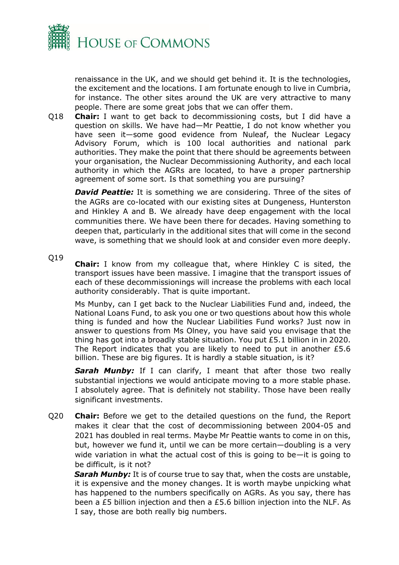

renaissance in the UK, and we should get behind it. It is the technologies, the excitement and the locations. I am fortunate enough to live in Cumbria, for instance. The other sites around the UK are very attractive to many people. There are some great jobs that we can offer them.

Q18 **Chair:** I want to get back to decommissioning costs, but I did have a question on skills. We have had—Mr Peattie, I do not know whether you have seen it—some good evidence from Nuleaf, the Nuclear Legacy Advisory Forum, which is 100 local authorities and national park authorities. They make the point that there should be agreements between your organisation, the Nuclear Decommissioning Authority, and each local authority in which the AGRs are located, to have a proper partnership agreement of some sort. Is that something you are pursuing?

**David Peattie:** It is something we are considering. Three of the sites of the AGRs are co-located with our existing sites at Dungeness, Hunterston and Hinkley A and B. We already have deep engagement with the local communities there. We have been there for decades. Having something to deepen that, particularly in the additional sites that will come in the second wave, is something that we should look at and consider even more deeply.

#### Q19

**Chair:** I know from my colleague that, where Hinkley C is sited, the transport issues have been massive. I imagine that the transport issues of each of these decommissionings will increase the problems with each local authority considerably. That is quite important.

Ms Munby, can I get back to the Nuclear Liabilities Fund and, indeed, the National Loans Fund, to ask you one or two questions about how this whole thing is funded and how the Nuclear Liabilities Fund works? Just now in answer to questions from Ms Olney, you have said you envisage that the thing has got into a broadly stable situation. You put £5.1 billion in in 2020. The Report indicates that you are likely to need to put in another £5.6 billion. These are big figures. It is hardly a stable situation, is it?

**Sarah Munby:** If I can clarify, I meant that after those two really substantial injections we would anticipate moving to a more stable phase. I absolutely agree. That is definitely not stability. Those have been really significant investments.

Q20 **Chair:** Before we get to the detailed questions on the fund, the Report makes it clear that the cost of decommissioning between 2004-05 and 2021 has doubled in real terms. Maybe Mr Peattie wants to come in on this, but, however we fund it, until we can be more certain—doubling is a very wide variation in what the actual cost of this is going to be—it is going to be difficult, is it not?

Sarah Munby: It is of course true to say that, when the costs are unstable, it is expensive and the money changes. It is worth maybe unpicking what has happened to the numbers specifically on AGRs. As you say, there has been a £5 billion injection and then a £5.6 billion injection into the NLF. As I say, those are both really big numbers.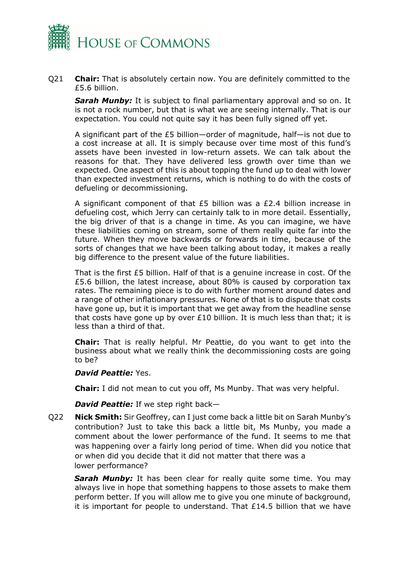

Q21 **Chair:** That is absolutely certain now. You are definitely committed to the £5.6 billion.

*Sarah Munby:* It is subject to final parliamentary approval and so on. It is not a rock number, but that is what we are seeing internally. That is our expectation. You could not quite say it has been fully signed off yet.

A significant part of the £5 billion—order of magnitude, half—is not due to a cost increase at all. It is simply because over time most of this fund's assets have been invested in low-return assets. We can talk about the reasons for that. They have delivered less growth over time than we expected. One aspect of this is about topping the fund up to deal with lower than expected investment returns, which is nothing to do with the costs of defueling or decommissioning.

A significant component of that £5 billion was a £2.4 billion increase in defueling cost, which Jerry can certainly talk to in more detail. Essentially, the big driver of that is a change in time. As you can imagine, we have these liabilities coming on stream, some of them really quite far into the future. When they move backwards or forwards in time, because of the sorts of changes that we have been talking about today, it makes a really big difference to the present value of the future liabilities.

That is the first £5 billion. Half of that is a genuine increase in cost. Of the £5.6 billion, the latest increase, about 80% is caused by corporation tax rates. The remaining piece is to do with further moment around dates and a range of other inflationary pressures. None of that is to dispute that costs have gone up, but it is important that we get away from the headline sense that costs have gone up by over £10 billion. It is much less than that; it is less than a third of that.

**Chair:** That is really helpful. Mr Peattie, do you want to get into the business about what we really think the decommissioning costs are going to be?

#### *David Peattie:* Yes.

**Chair:** I did not mean to cut you off, Ms Munby. That was very helpful.

*David Peattie:* If we step right back—

Q22 **Nick Smith:** Sir Geoffrey, can I just come back a little bit on Sarah Munby's contribution? Just to take this back a little bit, Ms Munby, you made a comment about the lower performance of the fund. It seems to me that was happening over a fairly long period of time. When did you notice that or when did you decide that it did not matter that there was a lower performance?

*Sarah Munby:* It has been clear for really quite some time. You may always live in hope that something happens to those assets to make them perform better. If you will allow me to give you one minute of background, it is important for people to understand. That  $£14.5$  billion that we have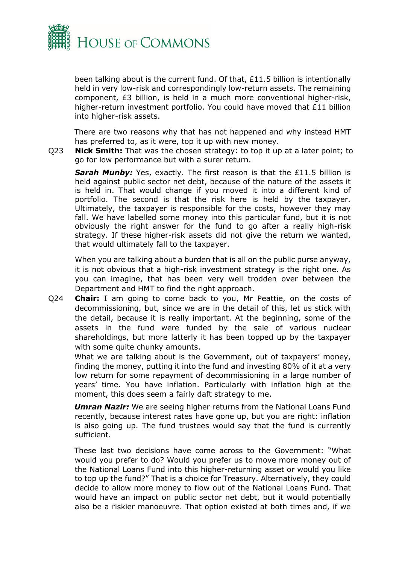

been talking about is the current fund. Of that, £11.5 billion is intentionally held in very low-risk and correspondingly low-return assets. The remaining component, £3 billion, is held in a much more conventional higher-risk, higher-return investment portfolio. You could have moved that £11 billion into higher-risk assets.

There are two reasons why that has not happened and why instead HMT has preferred to, as it were, top it up with new money.

Q23 **Nick Smith:** That was the chosen strategy: to top it up at a later point; to go for low performance but with a surer return.

**Sarah Munby:** Yes, exactly. The first reason is that the £11.5 billion is held against public sector net debt, because of the nature of the assets it is held in. That would change if you moved it into a different kind of portfolio. The second is that the risk here is held by the taxpayer. Ultimately, the taxpayer is responsible for the costs, however they may fall. We have labelled some money into this particular fund, but it is not obviously the right answer for the fund to go after a really high-risk strategy. If these higher-risk assets did not give the return we wanted, that would ultimately fall to the taxpayer.

When you are talking about a burden that is all on the public purse anyway, it is not obvious that a high-risk investment strategy is the right one. As you can imagine, that has been very well trodden over between the Department and HMT to find the right approach.

Q24 **Chair:** I am going to come back to you, Mr Peattie, on the costs of decommissioning, but, since we are in the detail of this, let us stick with the detail, because it is really important. At the beginning, some of the assets in the fund were funded by the sale of various nuclear shareholdings, but more latterly it has been topped up by the taxpayer with some quite chunky amounts.

What we are talking about is the Government, out of taxpayers' money, finding the money, putting it into the fund and investing 80% of it at a very low return for some repayment of decommissioning in a large number of years' time. You have inflation. Particularly with inflation high at the moment, this does seem a fairly daft strategy to me.

*Umran Nazir:* We are seeing higher returns from the National Loans Fund recently, because interest rates have gone up, but you are right: inflation is also going up. The fund trustees would say that the fund is currently sufficient.

These last two decisions have come across to the Government: "What would you prefer to do? Would you prefer us to move more money out of the National Loans Fund into this higher-returning asset or would you like to top up the fund?" That is a choice for Treasury. Alternatively, they could decide to allow more money to flow out of the National Loans Fund. That would have an impact on public sector net debt, but it would potentially also be a riskier manoeuvre. That option existed at both times and, if we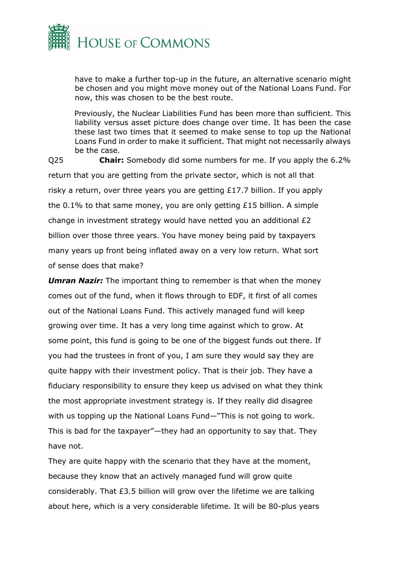

have to make a further top-up in the future, an alternative scenario might be chosen and you might move money out of the National Loans Fund. For now, this was chosen to be the best route.

Previously, the Nuclear Liabilities Fund has been more than sufficient. This liability versus asset picture does change over time. It has been the case these last two times that it seemed to make sense to top up the National Loans Fund in order to make it sufficient. That might not necessarily always be the case.

Q25 **Chair:** Somebody did some numbers for me. If you apply the 6.2% return that you are getting from the private sector, which is not all that risky a return, over three years you are getting £17.7 billion. If you apply the 0.1% to that same money, you are only getting £15 billion. A simple change in investment strategy would have netted you an additional  $£2$ billion over those three years. You have money being paid by taxpayers many years up front being inflated away on a very low return. What sort of sense does that make?

*Umran Nazir:* The important thing to remember is that when the money comes out of the fund, when it flows through to EDF, it first of all comes out of the National Loans Fund. This actively managed fund will keep growing over time. It has a very long time against which to grow. At some point, this fund is going to be one of the biggest funds out there. If you had the trustees in front of you, I am sure they would say they are quite happy with their investment policy. That is their job. They have a fiduciary responsibility to ensure they keep us advised on what they think the most appropriate investment strategy is. If they really did disagree with us topping up the National Loans Fund—"This is not going to work. This is bad for the taxpayer"—they had an opportunity to say that. They have not.

They are quite happy with the scenario that they have at the moment, because they know that an actively managed fund will grow quite considerably. That £3.5 billion will grow over the lifetime we are talking about here, which is a very considerable lifetime. It will be 80-plus years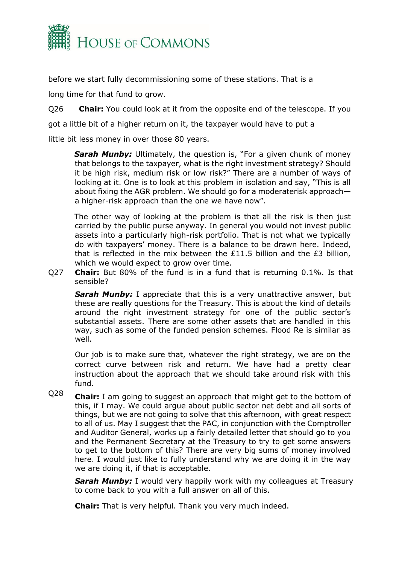

before we start fully decommissioning some of these stations. That is a

long time for that fund to grow.

Q26 **Chair:** You could look at it from the opposite end of the telescope. If you

got a little bit of a higher return on it, the taxpayer would have to put a

little bit less money in over those 80 years.

**Sarah Munby:** Ultimately, the question is, "For a given chunk of money that belongs to the taxpayer, what is the right investment strategy? Should it be high risk, medium risk or low risk?" There are a number of ways of looking at it. One is to look at this problem in isolation and say, "This is all about fixing the AGR problem. We should go for a moderaterisk approach a higher-risk approach than the one we have now".

The other way of looking at the problem is that all the risk is then just carried by the public purse anyway. In general you would not invest public assets into a particularly high-risk portfolio. That is not what we typically do with taxpayers' money. There is a balance to be drawn here. Indeed, that is reflected in the mix between the  $£11.5$  billion and the £3 billion, which we would expect to grow over time.

Q27 **Chair:** But 80% of the fund is in a fund that is returning 0.1%. Is that sensible?

**Sarah Munby:** I appreciate that this is a very unattractive answer, but these are really questions for the Treasury. This is about the kind of details around the right investment strategy for one of the public sector's substantial assets. There are some other assets that are handled in this way, such as some of the funded pension schemes. Flood Re is similar as well.

Our job is to make sure that, whatever the right strategy, we are on the correct curve between risk and return. We have had a pretty clear instruction about the approach that we should take around risk with this fund.

Q28 **Chair:** I am going to suggest an approach that might get to the bottom of this, if I may. We could argue about public sector net debt and all sorts of things, but we are not going to solve that this afternoon, with great respect to all of us. May I suggest that the PAC, in conjunction with the Comptroller and Auditor General, works up a fairly detailed letter that should go to you and the Permanent Secretary at the Treasury to try to get some answers to get to the bottom of this? There are very big sums of money involved here. I would just like to fully understand why we are doing it in the way we are doing it, if that is acceptable.

*Sarah Munby:* I would very happily work with my colleagues at Treasury to come back to you with a full answer on all of this.

**Chair:** That is very helpful. Thank you very much indeed.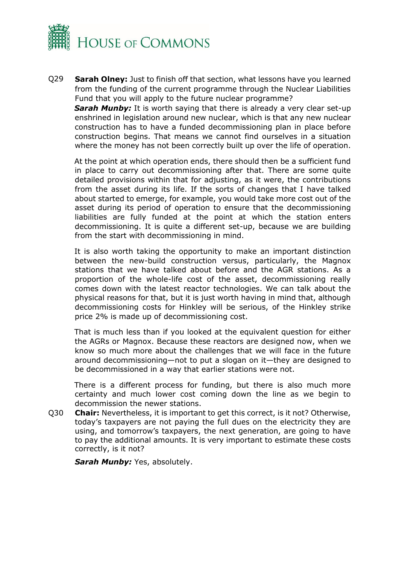

Q29 **Sarah Olney:** Just to finish off that section, what lessons have you learned from the funding of the current programme through the Nuclear Liabilities Fund that you will apply to the future nuclear programme?

**Sarah Munby:** It is worth saying that there is already a very clear set-up enshrined in legislation around new nuclear, which is that any new nuclear construction has to have a funded decommissioning plan in place before construction begins. That means we cannot find ourselves in a situation where the money has not been correctly built up over the life of operation.

At the point at which operation ends, there should then be a sufficient fund in place to carry out decommissioning after that. There are some quite detailed provisions within that for adjusting, as it were, the contributions from the asset during its life. If the sorts of changes that I have talked about started to emerge, for example, you would take more cost out of the asset during its period of operation to ensure that the decommissioning liabilities are fully funded at the point at which the station enters decommissioning. It is quite a different set-up, because we are building from the start with decommissioning in mind.

It is also worth taking the opportunity to make an important distinction between the new-build construction versus, particularly, the Magnox stations that we have talked about before and the AGR stations. As a proportion of the whole-life cost of the asset, decommissioning really comes down with the latest reactor technologies. We can talk about the physical reasons for that, but it is just worth having in mind that, although decommissioning costs for Hinkley will be serious, of the Hinkley strike price 2% is made up of decommissioning cost.

That is much less than if you looked at the equivalent question for either the AGRs or Magnox. Because these reactors are designed now, when we know so much more about the challenges that we will face in the future around decommissioning—not to put a slogan on it—they are designed to be decommissioned in a way that earlier stations were not.

There is a different process for funding, but there is also much more certainty and much lower cost coming down the line as we begin to decommission the newer stations.

Q30 **Chair:** Nevertheless, it is important to get this correct, is it not? Otherwise, today's taxpayers are not paying the full dues on the electricity they are using, and tomorrow's taxpayers, the next generation, are going to have to pay the additional amounts. It is very important to estimate these costs correctly, is it not?

**Sarah Munby: Yes, absolutely.**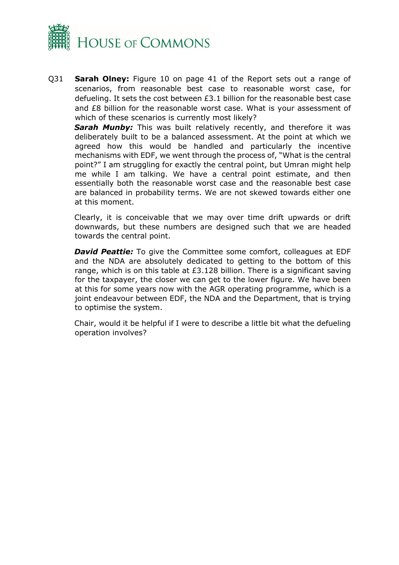

Q31 **Sarah Olney:** Figure 10 on page 41 of the Report sets out a range of scenarios, from reasonable best case to reasonable worst case, for defueling. It sets the cost between £3.1 billion for the reasonable best case and £8 billion for the reasonable worst case. What is your assessment of which of these scenarios is currently most likely?

Sarah Munby: This was built relatively recently, and therefore it was deliberately built to be a balanced assessment. At the point at which we agreed how this would be handled and particularly the incentive mechanisms with EDF, we went through the process of, "What is the central point?" I am struggling for exactly the central point, but Umran might help me while I am talking. We have a central point estimate, and then essentially both the reasonable worst case and the reasonable best case are balanced in probability terms. We are not skewed towards either one at this moment.

Clearly, it is conceivable that we may over time drift upwards or drift downwards, but these numbers are designed such that we are headed towards the central point.

*David Peattie:* To give the Committee some comfort, colleagues at EDF and the NDA are absolutely dedicated to getting to the bottom of this range, which is on this table at £3.128 billion. There is a significant saving for the taxpayer, the closer we can get to the lower figure. We have been at this for some years now with the AGR operating programme, which is a joint endeavour between EDF, the NDA and the Department, that is trying to optimise the system.

Chair, would it be helpful if I were to describe a little bit what the defueling operation involves?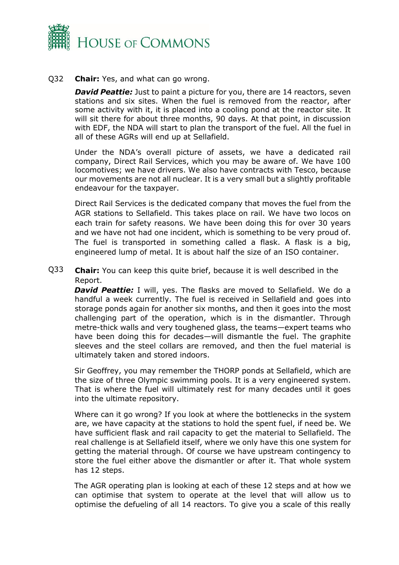

#### Q32 **Chair:** Yes, and what can go wrong.

*David Peattie:* Just to paint a picture for you, there are 14 reactors, seven stations and six sites. When the fuel is removed from the reactor, after some activity with it, it is placed into a cooling pond at the reactor site. It will sit there for about three months, 90 days. At that point, in discussion with EDF, the NDA will start to plan the transport of the fuel. All the fuel in all of these AGRs will end up at Sellafield.

Under the NDA's overall picture of assets, we have a dedicated rail company, Direct Rail Services, which you may be aware of. We have 100 locomotives; we have drivers. We also have contracts with Tesco, because our movements are not all nuclear. It is a very small but a slightly profitable endeavour for the taxpayer.

Direct Rail Services is the dedicated company that moves the fuel from the AGR stations to Sellafield. This takes place on rail. We have two locos on each train for safety reasons. We have been doing this for over 30 years and we have not had one incident, which is something to be very proud of. The fuel is transported in something called a flask. A flask is a big, engineered lump of metal. It is about half the size of an ISO container.

Q33 **Chair:** You can keep this quite brief, because it is well described in the Report.

*David Peattie:* I will, yes. The flasks are moved to Sellafield. We do a handful a week currently. The fuel is received in Sellafield and goes into storage ponds again for another six months, and then it goes into the most challenging part of the operation, which is in the dismantler. Through metre-thick walls and very toughened glass, the teams—expert teams who have been doing this for decades—will dismantle the fuel. The graphite sleeves and the steel collars are removed, and then the fuel material is ultimately taken and stored indoors.

Sir Geoffrey, you may remember the THORP ponds at Sellafield, which are the size of three Olympic swimming pools. It is a very engineered system. That is where the fuel will ultimately rest for many decades until it goes into the ultimate repository.

Where can it go wrong? If you look at where the bottlenecks in the system are, we have capacity at the stations to hold the spent fuel, if need be. We have sufficient flask and rail capacity to get the material to Sellafield. The real challenge is at Sellafield itself, where we only have this one system for getting the material through. Of course we have upstream contingency to store the fuel either above the dismantler or after it. That whole system has 12 steps.

The AGR operating plan is looking at each of these 12 steps and at how we can optimise that system to operate at the level that will allow us to optimise the defueling of all 14 reactors. To give you a scale of this really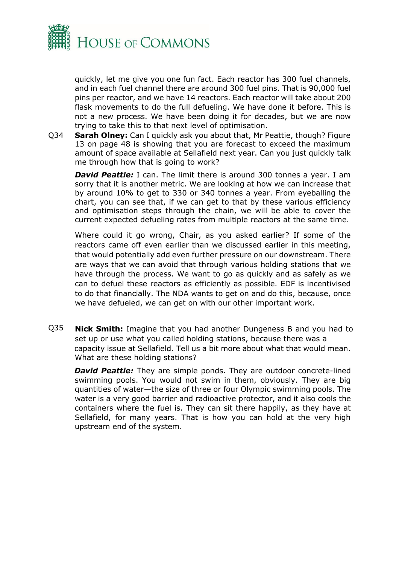

quickly, let me give you one fun fact. Each reactor has 300 fuel channels, and in each fuel channel there are around 300 fuel pins. That is 90,000 fuel pins per reactor, and we have 14 reactors. Each reactor will take about 200 flask movements to do the full defueling. We have done it before. This is not a new process. We have been doing it for decades, but we are now trying to take this to that next level of optimisation.

Q34 **Sarah Olney:** Can I quickly ask you about that, Mr Peattie, though? Figure 13 on page 48 is showing that you are forecast to exceed the maximum amount of space available at Sellafield next year. Can you just quickly talk me through how that is going to work?

*David Peattie:* I can. The limit there is around 300 tonnes a year. I am sorry that it is another metric. We are looking at how we can increase that by around 10% to get to 330 or 340 tonnes a year. From eyeballing the chart, you can see that, if we can get to that by these various efficiency and optimisation steps through the chain, we will be able to cover the current expected defueling rates from multiple reactors at the same time.

Where could it go wrong, Chair, as you asked earlier? If some of the reactors came off even earlier than we discussed earlier in this meeting, that would potentially add even further pressure on our downstream. There are ways that we can avoid that through various holding stations that we have through the process. We want to go as quickly and as safely as we can to defuel these reactors as efficiently as possible. EDF is incentivised to do that financially. The NDA wants to get on and do this, because, once we have defueled, we can get on with our other important work.

Q35 **Nick Smith:** Imagine that you had another Dungeness B and you had to set up or use what you called holding stations, because there was a capacity issue at Sellafield. Tell us a bit more about what that would mean. What are these holding stations?

*David Peattie:* They are simple ponds. They are outdoor concrete-lined swimming pools. You would not swim in them, obviously. They are big quantities of water—the size of three or four Olympic swimming pools. The water is a very good barrier and radioactive protector, and it also cools the containers where the fuel is. They can sit there happily, as they have at Sellafield, for many years. That is how you can hold at the very high upstream end of the system.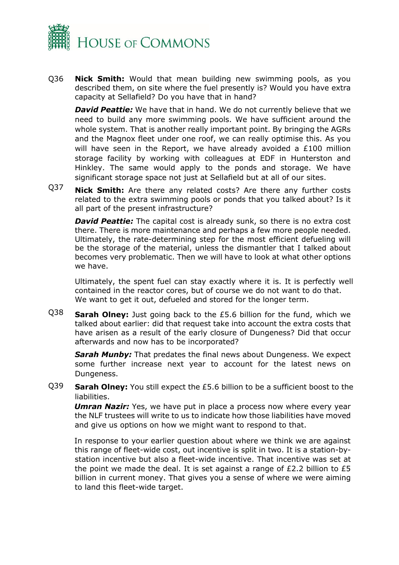

Q36 **Nick Smith:** Would that mean building new swimming pools, as you described them, on site where the fuel presently is? Would you have extra capacity at Sellafield? Do you have that in hand?

**David Peattie:** We have that in hand. We do not currently believe that we need to build any more swimming pools. We have sufficient around the whole system. That is another really important point. By bringing the AGRs and the Magnox fleet under one roof, we can really optimise this. As you will have seen in the Report, we have already avoided a £100 million storage facility by working with colleagues at EDF in Hunterston and Hinkley. The same would apply to the ponds and storage. We have significant storage space not just at Sellafield but at all of our sites.

Q37 **Nick Smith:** Are there any related costs? Are there any further costs related to the extra swimming pools or ponds that you talked about? Is it all part of the present infrastructure?

**David Peattie:** The capital cost is already sunk, so there is no extra cost there. There is more maintenance and perhaps a few more people needed. Ultimately, the rate-determining step for the most efficient defueling will be the storage of the material, unless the dismantler that I talked about becomes very problematic. Then we will have to look at what other options we have.

Ultimately, the spent fuel can stay exactly where it is. It is perfectly well contained in the reactor cores, but of course we do not want to do that. We want to get it out, defueled and stored for the longer term.

Q38 **Sarah Olney:** Just going back to the £5.6 billion for the fund, which we talked about earlier: did that request take into account the extra costs that have arisen as a result of the early closure of Dungeness? Did that occur afterwards and now has to be incorporated?

**Sarah Munby:** That predates the final news about Dungeness. We expect some further increase next year to account for the latest news on Dungeness.

Q39 **Sarah Olney:** You still expect the £5.6 billion to be a sufficient boost to the liabilities.

*Umran Nazir:* Yes, we have put in place a process now where every year the NLF trustees will write to us to indicate how those liabilities have moved and give us options on how we might want to respond to that.

In response to your earlier question about where we think we are against this range of fleet-wide cost, out incentive is split in two. It is a station-bystation incentive but also a fleet-wide incentive. That incentive was set at the point we made the deal. It is set against a range of  $E2.2$  billion to  $E5$ billion in current money. That gives you a sense of where we were aiming to land this fleet-wide target.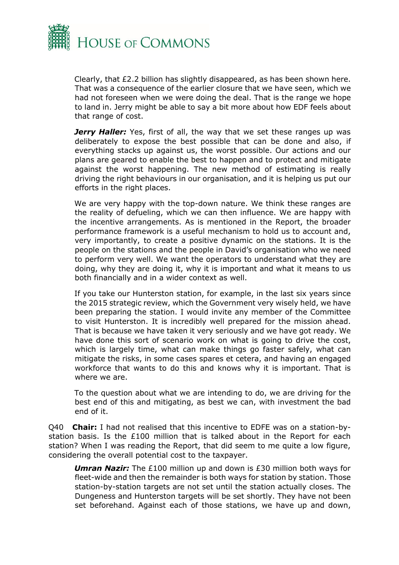

Clearly, that £2.2 billion has slightly disappeared, as has been shown here. That was a consequence of the earlier closure that we have seen, which we had not foreseen when we were doing the deal. That is the range we hope to land in. Jerry might be able to say a bit more about how EDF feels about that range of cost.

Jerry Haller: Yes, first of all, the way that we set these ranges up was deliberately to expose the best possible that can be done and also, if everything stacks up against us, the worst possible. Our actions and our plans are geared to enable the best to happen and to protect and mitigate against the worst happening. The new method of estimating is really driving the right behaviours in our organisation, and it is helping us put our efforts in the right places.

We are very happy with the top-down nature. We think these ranges are the reality of defueling, which we can then influence. We are happy with the incentive arrangements. As is mentioned in the Report, the broader performance framework is a useful mechanism to hold us to account and, very importantly, to create a positive dynamic on the stations. It is the people on the stations and the people in David's organisation who we need to perform very well. We want the operators to understand what they are doing, why they are doing it, why it is important and what it means to us both financially and in a wider context as well.

If you take our Hunterston station, for example, in the last six years since the 2015 strategic review, which the Government very wisely held, we have been preparing the station. I would invite any member of the Committee to visit Hunterston. It is incredibly well prepared for the mission ahead. That is because we have taken it very seriously and we have got ready. We have done this sort of scenario work on what is going to drive the cost, which is largely time, what can make things go faster safely, what can mitigate the risks, in some cases spares et cetera, and having an engaged workforce that wants to do this and knows why it is important. That is where we are.

To the question about what we are intending to do, we are driving for the best end of this and mitigating, as best we can, with investment the bad end of it.

Q40 **Chair:** I had not realised that this incentive to EDFE was on a station-bystation basis. Is the £100 million that is talked about in the Report for each station? When I was reading the Report, that did seem to me quite a low figure, considering the overall potential cost to the taxpayer.

*Umran Nazir:* The £100 million up and down is £30 million both ways for fleet-wide and then the remainder is both ways for station by station. Those station-by-station targets are not set until the station actually closes. The Dungeness and Hunterston targets will be set shortly. They have not been set beforehand. Against each of those stations, we have up and down,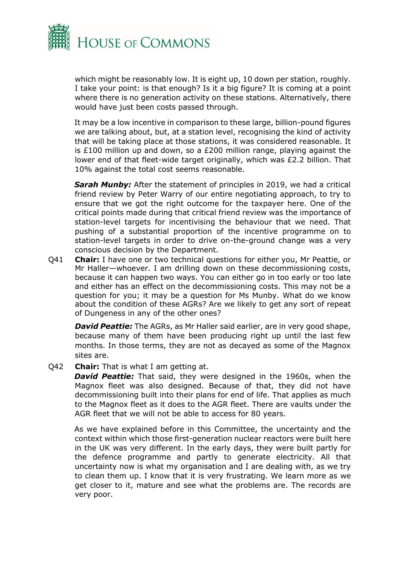

which might be reasonably low. It is eight up, 10 down per station, roughly. I take your point: is that enough? Is it a big figure? It is coming at a point where there is no generation activity on these stations. Alternatively, there would have just been costs passed through.

It may be a low incentive in comparison to these large, billion-pound figures we are talking about, but, at a station level, recognising the kind of activity that will be taking place at those stations, it was considered reasonable. It is £100 million up and down, so a £200 million range, playing against the lower end of that fleet-wide target originally, which was £2.2 billion. That 10% against the total cost seems reasonable.

**Sarah Munby:** After the statement of principles in 2019, we had a critical friend review by Peter Warry of our entire negotiating approach, to try to ensure that we got the right outcome for the taxpayer here. One of the critical points made during that critical friend review was the importance of station-level targets for incentivising the behaviour that we need. That pushing of a substantial proportion of the incentive programme on to station-level targets in order to drive on-the-ground change was a very conscious decision by the Department.

Q41 **Chair:** I have one or two technical questions for either you, Mr Peattie, or Mr Haller—whoever. I am drilling down on these decommissioning costs, because it can happen two ways. You can either go in too early or too late and either has an effect on the decommissioning costs. This may not be a question for you; it may be a question for Ms Munby. What do we know about the condition of these AGRs? Are we likely to get any sort of repeat of Dungeness in any of the other ones?

*David Peattie:* The AGRs, as Mr Haller said earlier, are in very good shape, because many of them have been producing right up until the last few months. In those terms, they are not as decayed as some of the Magnox sites are.

Q42 **Chair:** That is what I am getting at.

**David Peattie:** That said, they were designed in the 1960s, when the Magnox fleet was also designed. Because of that, they did not have decommissioning built into their plans for end of life. That applies as much to the Magnox fleet as it does to the AGR fleet. There are vaults under the AGR fleet that we will not be able to access for 80 years.

As we have explained before in this Committee, the uncertainty and the context within which those first-generation nuclear reactors were built here in the UK was very different. In the early days, they were built partly for the defence programme and partly to generate electricity. All that uncertainty now is what my organisation and I are dealing with, as we try to clean them up. I know that it is very frustrating. We learn more as we get closer to it, mature and see what the problems are. The records are very poor.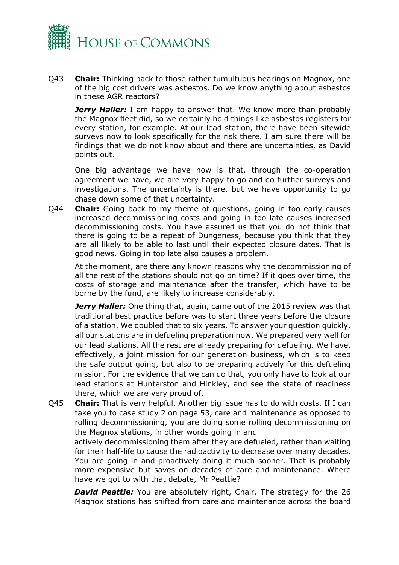

Q43 **Chair:** Thinking back to those rather tumultuous hearings on Magnox, one of the big cost drivers was asbestos. Do we know anything about asbestos in these AGR reactors?

Jerry Haller: I am happy to answer that. We know more than probably the Magnox fleet did, so we certainly hold things like asbestos registers for every station, for example. At our lead station, there have been sitewide surveys now to look specifically for the risk there. I am sure there will be findings that we do not know about and there are uncertainties, as David points out.

One big advantage we have now is that, through the co-operation agreement we have, we are very happy to go and do further surveys and investigations. The uncertainty is there, but we have opportunity to go chase down some of that uncertainty.

Q44 **Chair:** Going back to my theme of questions, going in too early causes increased decommissioning costs and going in too late causes increased decommissioning costs. You have assured us that you do not think that there is going to be a repeat of Dungeness, because you think that they are all likely to be able to last until their expected closure dates. That is good news. Going in too late also causes a problem.

At the moment, are there any known reasons why the decommissioning of all the rest of the stations should not go on time? If it goes over time, the costs of storage and maintenance after the transfer, which have to be borne by the fund, are likely to increase considerably.

*Jerry Haller:* One thing that, again, came out of the 2015 review was that traditional best practice before was to start three years before the closure of a station. We doubled that to six years. To answer your question quickly, all our stations are in defueling preparation now. We prepared very well for our lead stations. All the rest are already preparing for defueling. We have, effectively, a joint mission for our generation business, which is to keep the safe output going, but also to be preparing actively for this defueling mission. For the evidence that we can do that, you only have to look at our lead stations at Hunterston and Hinkley, and see the state of readiness there, which we are very proud of.

Q45 **Chair:** That is very helpful. Another big issue has to do with costs. If I can take you to case study 2 on page 53, care and maintenance as opposed to rolling decommissioning, you are doing some rolling decommissioning on the Magnox stations, in other words going in and

actively decommissioning them after they are defueled, rather than waiting for their half-life to cause the radioactivity to decrease over many decades. You are going in and proactively doing it much sooner. That is probably more expensive but saves on decades of care and maintenance. Where have we got to with that debate, Mr Peattie?

**David Peattie:** You are absolutely right, Chair. The strategy for the 26 Magnox stations has shifted from care and maintenance across the board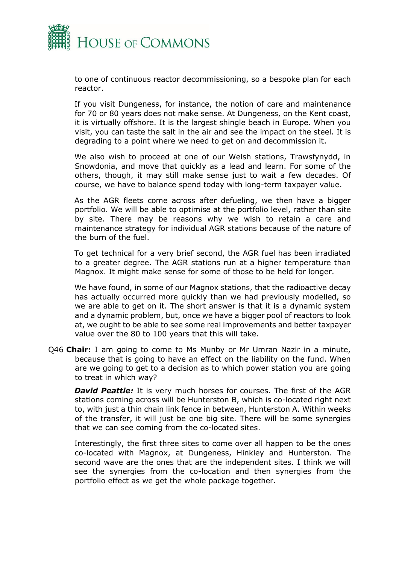

to one of continuous reactor decommissioning, so a bespoke plan for each reactor.

If you visit Dungeness, for instance, the notion of care and maintenance for 70 or 80 years does not make sense. At Dungeness, on the Kent coast, it is virtually offshore. It is the largest shingle beach in Europe. When you visit, you can taste the salt in the air and see the impact on the steel. It is degrading to a point where we need to get on and decommission it.

We also wish to proceed at one of our Welsh stations, Trawsfynydd, in Snowdonia, and move that quickly as a lead and learn. For some of the others, though, it may still make sense just to wait a few decades. Of course, we have to balance spend today with long-term taxpayer value.

As the AGR fleets come across after defueling, we then have a bigger portfolio. We will be able to optimise at the portfolio level, rather than site by site. There may be reasons why we wish to retain a care and maintenance strategy for individual AGR stations because of the nature of the burn of the fuel.

To get technical for a very brief second, the AGR fuel has been irradiated to a greater degree. The AGR stations run at a higher temperature than Magnox. It might make sense for some of those to be held for longer.

We have found, in some of our Magnox stations, that the radioactive decay has actually occurred more quickly than we had previously modelled, so we are able to get on it. The short answer is that it is a dynamic system and a dynamic problem, but, once we have a bigger pool of reactors to look at, we ought to be able to see some real improvements and better taxpayer value over the 80 to 100 years that this will take.

Q46 **Chair:** I am going to come to Ms Munby or Mr Umran Nazir in a minute, because that is going to have an effect on the liability on the fund. When are we going to get to a decision as to which power station you are going to treat in which way?

*David Peattie:* It is very much horses for courses. The first of the AGR stations coming across will be Hunterston B, which is co-located right next to, with just a thin chain link fence in between, Hunterston A. Within weeks of the transfer, it will just be one big site. There will be some synergies that we can see coming from the co-located sites.

Interestingly, the first three sites to come over all happen to be the ones co-located with Magnox, at Dungeness, Hinkley and Hunterston. The second wave are the ones that are the independent sites. I think we will see the synergies from the co-location and then synergies from the portfolio effect as we get the whole package together.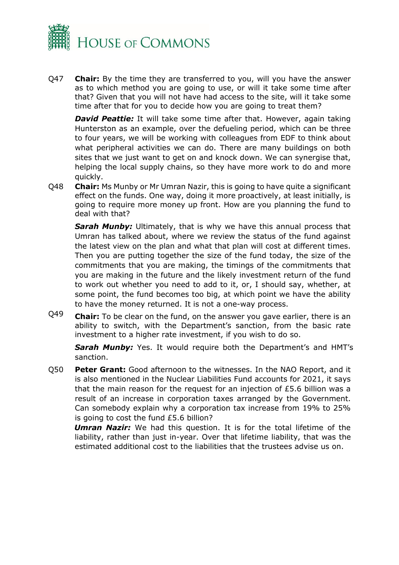

Q47 **Chair:** By the time they are transferred to you, will you have the answer as to which method you are going to use, or will it take some time after that? Given that you will not have had access to the site, will it take some time after that for you to decide how you are going to treat them?

**David Peattie:** It will take some time after that. However, again taking Hunterston as an example, over the defueling period, which can be three to four years, we will be working with colleagues from EDF to think about what peripheral activities we can do. There are many buildings on both sites that we just want to get on and knock down. We can synergise that, helping the local supply chains, so they have more work to do and more quickly.

Q48 **Chair:** Ms Munby or Mr Umran Nazir, this is going to have quite a significant effect on the funds. One way, doing it more proactively, at least initially, is going to require more money up front. How are you planning the fund to deal with that?

**Sarah Munby:** Ultimately, that is why we have this annual process that Umran has talked about, where we review the status of the fund against the latest view on the plan and what that plan will cost at different times. Then you are putting together the size of the fund today, the size of the commitments that you are making, the timings of the commitments that you are making in the future and the likely investment return of the fund to work out whether you need to add to it, or, I should say, whether, at some point, the fund becomes too big, at which point we have the ability to have the money returned. It is not a one-way process.

Q49 **Chair:** To be clear on the fund, on the answer you gave earlier, there is an ability to switch, with the Department's sanction, from the basic rate investment to a higher rate investment, if you wish to do so.

*Sarah Munby:* Yes. It would require both the Department's and HMT's sanction.

Q50 **Peter Grant:** Good afternoon to the witnesses. In the NAO Report, and it is also mentioned in the Nuclear Liabilities Fund accounts for 2021, it says that the main reason for the request for an injection of £5.6 billion was a result of an increase in corporation taxes arranged by the Government. Can somebody explain why a corporation tax increase from 19% to 25% is going to cost the fund £5.6 billion?

*Umran Nazir:* We had this question. It is for the total lifetime of the liability, rather than just in-year. Over that lifetime liability, that was the estimated additional cost to the liabilities that the trustees advise us on.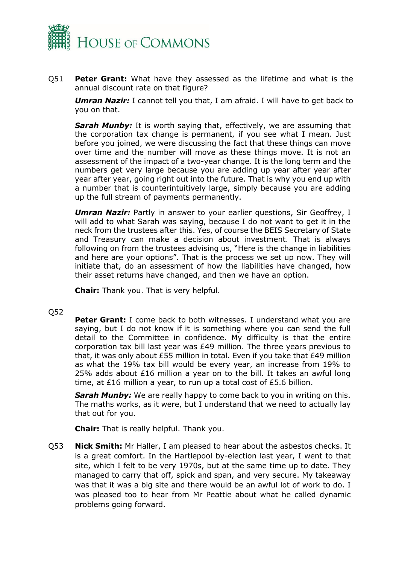

Q51 **Peter Grant:** What have they assessed as the lifetime and what is the annual discount rate on that figure?

*Umran Nazir:* I cannot tell you that, I am afraid. I will have to get back to you on that.

*Sarah Munby:* It is worth saying that, effectively, we are assuming that the corporation tax change is permanent, if you see what I mean. Just before you joined, we were discussing the fact that these things can move over time and the number will move as these things move. It is not an assessment of the impact of a two-year change. It is the long term and the numbers get very large because you are adding up year after year after year after year, going right out into the future. That is why you end up with a number that is counterintuitively large, simply because you are adding up the full stream of payments permanently.

*Umran Nazir:* Partly in answer to your earlier questions, Sir Geoffrey, I will add to what Sarah was saying, because I do not want to get it in the neck from the trustees after this. Yes, of course the BEIS Secretary of State and Treasury can make a decision about investment. That is always following on from the trustees advising us, "Here is the change in liabilities and here are your options". That is the process we set up now. They will initiate that, do an assessment of how the liabilities have changed, how their asset returns have changed, and then we have an option.

**Chair:** Thank you. That is very helpful.

#### Q52

**Peter Grant:** I come back to both witnesses. I understand what you are saying, but I do not know if it is something where you can send the full detail to the Committee in confidence. My difficulty is that the entire corporation tax bill last year was £49 million. The three years previous to that, it was only about £55 million in total. Even if you take that £49 million as what the 19% tax bill would be every year, an increase from 19% to 25% adds about £16 million a year on to the bill. It takes an awful long time, at £16 million a year, to run up a total cost of £5.6 billion.

**Sarah Munby:** We are really happy to come back to you in writing on this. The maths works, as it were, but I understand that we need to actually lay that out for you.

**Chair:** That is really helpful. Thank you.

Q53 **Nick Smith:** Mr Haller, I am pleased to hear about the asbestos checks. It is a great comfort. In the Hartlepool by-election last year, I went to that site, which I felt to be very 1970s, but at the same time up to date. They managed to carry that off, spick and span, and very secure. My takeaway was that it was a big site and there would be an awful lot of work to do. I was pleased too to hear from Mr Peattie about what he called dynamic problems going forward.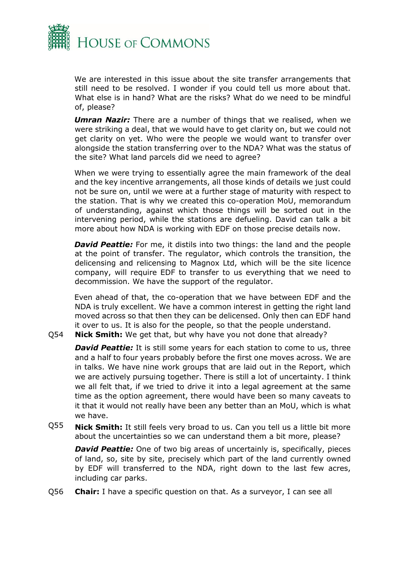

We are interested in this issue about the site transfer arrangements that still need to be resolved. I wonder if you could tell us more about that. What else is in hand? What are the risks? What do we need to be mindful of, please?

*Umran Nazir:* There are a number of things that we realised, when we were striking a deal, that we would have to get clarity on, but we could not get clarity on yet. Who were the people we would want to transfer over alongside the station transferring over to the NDA? What was the status of the site? What land parcels did we need to agree?

When we were trying to essentially agree the main framework of the deal and the key incentive arrangements, all those kinds of details we just could not be sure on, until we were at a further stage of maturity with respect to the station. That is why we created this co-operation MoU, memorandum of understanding, against which those things will be sorted out in the intervening period, while the stations are defueling. David can talk a bit more about how NDA is working with EDF on those precise details now.

*David Peattie:* For me, it distils into two things: the land and the people at the point of transfer. The regulator, which controls the transition, the delicensing and relicensing to Magnox Ltd, which will be the site licence company, will require EDF to transfer to us everything that we need to decommission. We have the support of the regulator.

Even ahead of that, the co-operation that we have between EDF and the NDA is truly excellent. We have a common interest in getting the right land moved across so that then they can be delicensed. Only then can EDF hand it over to us. It is also for the people, so that the people understand.

Q54 **Nick Smith:** We get that, but why have you not done that already?

**David Peattie:** It is still some years for each station to come to us, three and a half to four years probably before the first one moves across. We are in talks. We have nine work groups that are laid out in the Report, which we are actively pursuing together. There is still a lot of uncertainty. I think we all felt that, if we tried to drive it into a legal agreement at the same time as the option agreement, there would have been so many caveats to it that it would not really have been any better than an MoU, which is what we have.

Q55 **Nick Smith:** It still feels very broad to us. Can you tell us a little bit more about the uncertainties so we can understand them a bit more, please?

*David Peattie:* One of two big areas of uncertainly is, specifically, pieces of land, so, site by site, precisely which part of the land currently owned by EDF will transferred to the NDA, right down to the last few acres, including car parks.

Q56 **Chair:** I have a specific question on that. As a surveyor, I can see all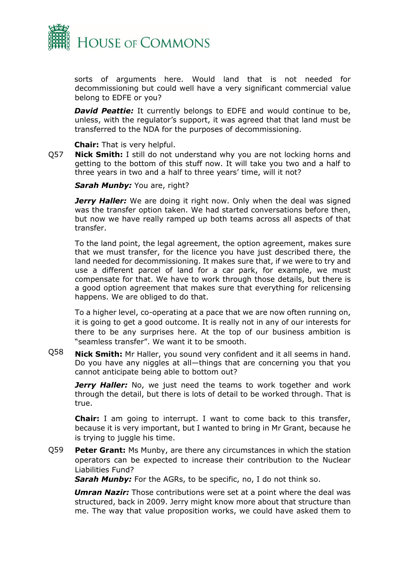

sorts of arguments here. Would land that is not needed for decommissioning but could well have a very significant commercial value belong to EDFE or you?

**David Peattie:** It currently belongs to EDFE and would continue to be, unless, with the regulator's support, it was agreed that that land must be transferred to the NDA for the purposes of decommissioning.

**Chair:** That is very helpful.

Q57 **Nick Smith:** I still do not understand why you are not locking horns and getting to the bottom of this stuff now. It will take you two and a half to three years in two and a half to three years' time, will it not?

**Sarah Munby: You are, right?** 

*Jerry Haller:* We are doing it right now. Only when the deal was signed was the transfer option taken. We had started conversations before then, but now we have really ramped up both teams across all aspects of that transfer.

To the land point, the legal agreement, the option agreement, makes sure that we must transfer, for the licence you have just described there, the land needed for decommissioning. It makes sure that, if we were to try and use a different parcel of land for a car park, for example, we must compensate for that. We have to work through those details, but there is a good option agreement that makes sure that everything for relicensing happens. We are obliged to do that.

To a higher level, co-operating at a pace that we are now often running on, it is going to get a good outcome. It is really not in any of our interests for there to be any surprises here. At the top of our business ambition is "seamless transfer". We want it to be smooth.

Q58 **Nick Smith:** Mr Haller, you sound very confident and it all seems in hand. Do you have any niggles at all—things that are concerning you that you cannot anticipate being able to bottom out?

**Jerry Haller:** No, we just need the teams to work together and work through the detail, but there is lots of detail to be worked through. That is true.

**Chair:** I am going to interrupt. I want to come back to this transfer, because it is very important, but I wanted to bring in Mr Grant, because he is trying to juggle his time.

Q59 **Peter Grant:** Ms Munby, are there any circumstances in which the station operators can be expected to increase their contribution to the Nuclear Liabilities Fund?

**Sarah Munby:** For the AGRs, to be specific, no, I do not think so.

*Umran Nazir:* Those contributions were set at a point where the deal was structured, back in 2009. Jerry might know more about that structure than me. The way that value proposition works, we could have asked them to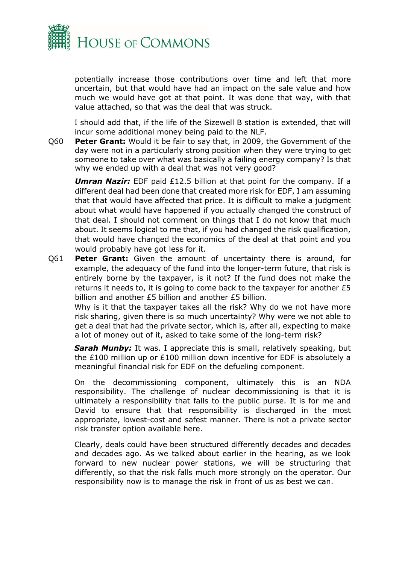

potentially increase those contributions over time and left that more uncertain, but that would have had an impact on the sale value and how much we would have got at that point. It was done that way, with that value attached, so that was the deal that was struck.

I should add that, if the life of the Sizewell B station is extended, that will incur some additional money being paid to the NLF.

Q60 **Peter Grant:** Would it be fair to say that, in 2009, the Government of the day were not in a particularly strong position when they were trying to get someone to take over what was basically a failing energy company? Is that why we ended up with a deal that was not very good?

*Umran Nazir:* EDF paid £12.5 billion at that point for the company. If a different deal had been done that created more risk for EDF, I am assuming that that would have affected that price. It is difficult to make a judgment about what would have happened if you actually changed the construct of that deal. I should not comment on things that I do not know that much about. It seems logical to me that, if you had changed the risk qualification, that would have changed the economics of the deal at that point and you would probably have got less for it.

Q61 **Peter Grant:** Given the amount of uncertainty there is around, for example, the adequacy of the fund into the longer-term future, that risk is entirely borne by the taxpayer, is it not? If the fund does not make the returns it needs to, it is going to come back to the taxpayer for another £5 billion and another £5 billion and another £5 billion.

Why is it that the taxpayer takes all the risk? Why do we not have more risk sharing, given there is so much uncertainty? Why were we not able to get a deal that had the private sector, which is, after all, expecting to make a lot of money out of it, asked to take some of the long-term risk?

**Sarah Munby:** It was. I appreciate this is small, relatively speaking, but the £100 million up or £100 million down incentive for EDF is absolutely a meaningful financial risk for EDF on the defueling component.

On the decommissioning component, ultimately this is an NDA responsibility. The challenge of nuclear decommissioning is that it is ultimately a responsibility that falls to the public purse. It is for me and David to ensure that that responsibility is discharged in the most appropriate, lowest-cost and safest manner. There is not a private sector risk transfer option available here.

Clearly, deals could have been structured differently decades and decades and decades ago. As we talked about earlier in the hearing, as we look forward to new nuclear power stations, we will be structuring that differently, so that the risk falls much more strongly on the operator. Our responsibility now is to manage the risk in front of us as best we can.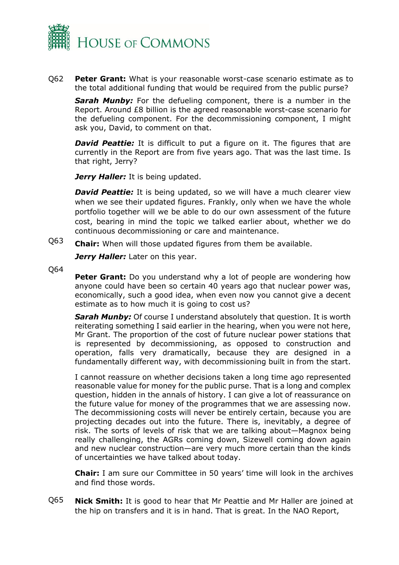

Q62 **Peter Grant:** What is your reasonable worst-case scenario estimate as to the total additional funding that would be required from the public purse?

*Sarah Munby:* For the defueling component, there is a number in the Report. Around £8 billion is the agreed reasonable worst-case scenario for the defueling component. For the decommissioning component, I might ask you, David, to comment on that.

**David Peattie:** It is difficult to put a figure on it. The figures that are currently in the Report are from five years ago. That was the last time. Is that right, Jerry?

Jerry Haller: It is being updated.

**David Peattie:** It is being updated, so we will have a much clearer view when we see their updated figures. Frankly, only when we have the whole portfolio together will we be able to do our own assessment of the future cost, bearing in mind the topic we talked earlier about, whether we do continuous decommissioning or care and maintenance.

Q63 **Chair:** When will those updated figures from them be available.

Jerry Haller: Later on this year.

Q64

**Peter Grant:** Do you understand why a lot of people are wondering how anyone could have been so certain 40 years ago that nuclear power was, economically, such a good idea, when even now you cannot give a decent estimate as to how much it is going to cost us?

**Sarah Munby:** Of course I understand absolutely that question. It is worth reiterating something I said earlier in the hearing, when you were not here, Mr Grant. The proportion of the cost of future nuclear power stations that is represented by decommissioning, as opposed to construction and operation, falls very dramatically, because they are designed in a fundamentally different way, with decommissioning built in from the start.

I cannot reassure on whether decisions taken a long time ago represented reasonable value for money for the public purse. That is a long and complex question, hidden in the annals of history. I can give a lot of reassurance on the future value for money of the programmes that we are assessing now. The decommissioning costs will never be entirely certain, because you are projecting decades out into the future. There is, inevitably, a degree of risk. The sorts of levels of risk that we are talking about—Magnox being really challenging, the AGRs coming down, Sizewell coming down again and new nuclear construction—are very much more certain than the kinds of uncertainties we have talked about today.

**Chair:** I am sure our Committee in 50 years' time will look in the archives and find those words.

Q65 **Nick Smith:** It is good to hear that Mr Peattie and Mr Haller are joined at the hip on transfers and it is in hand. That is great. In the NAO Report,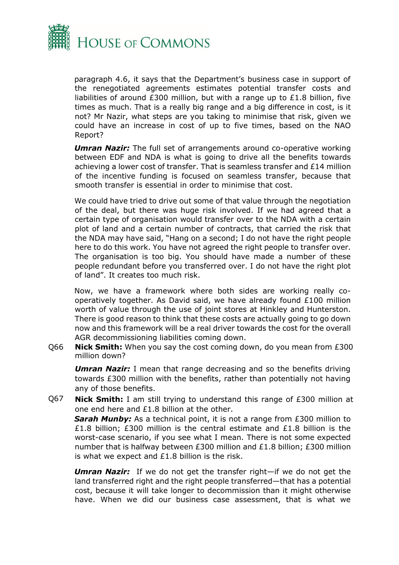

paragraph 4.6, it says that the Department's business case in support of the renegotiated agreements estimates potential transfer costs and liabilities of around £300 million, but with a range up to £1.8 billion, five times as much. That is a really big range and a big difference in cost, is it not? Mr Nazir, what steps are you taking to minimise that risk, given we could have an increase in cost of up to five times, based on the NAO Report?

*Umran Nazir:* The full set of arrangements around co-operative working between EDF and NDA is what is going to drive all the benefits towards achieving a lower cost of transfer. That is seamless transfer and £14 million of the incentive funding is focused on seamless transfer, because that smooth transfer is essential in order to minimise that cost.

We could have tried to drive out some of that value through the negotiation of the deal, but there was huge risk involved. If we had agreed that a certain type of organisation would transfer over to the NDA with a certain plot of land and a certain number of contracts, that carried the risk that the NDA may have said, "Hang on a second; I do not have the right people here to do this work. You have not agreed the right people to transfer over. The organisation is too big. You should have made a number of these people redundant before you transferred over. I do not have the right plot of land". It creates too much risk.

Now, we have a framework where both sides are working really cooperatively together. As David said, we have already found £100 million worth of value through the use of joint stores at Hinkley and Hunterston. There is good reason to think that these costs are actually going to go down now and this framework will be a real driver towards the cost for the overall AGR decommissioning liabilities coming down.

Q66 **Nick Smith:** When you say the cost coming down, do you mean from £300 million down?

*Umran Nazir:* I mean that range decreasing and so the benefits driving towards £300 million with the benefits, rather than potentially not having any of those benefits.

Q67 **Nick Smith:** I am still trying to understand this range of £300 million at one end here and £1.8 billion at the other.

**Sarah Munby:** As a technical point, it is not a range from £300 million to £1.8 billion; £300 million is the central estimate and £1.8 billion is the worst-case scenario, if you see what I mean. There is not some expected number that is halfway between £300 million and £1.8 billion; £300 million is what we expect and £1.8 billion is the risk.

*Umran Nazir:* If we do not get the transfer right—if we do not get the land transferred right and the right people transferred—that has a potential cost, because it will take longer to decommission than it might otherwise have. When we did our business case assessment, that is what we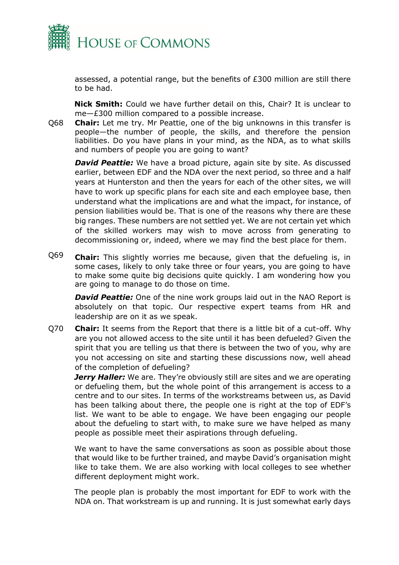

assessed, a potential range, but the benefits of £300 million are still there to be had.

**Nick Smith:** Could we have further detail on this, Chair? It is unclear to me—£300 million compared to a possible increase.

Q68 **Chair:** Let me try. Mr Peattie, one of the big unknowns in this transfer is people—the number of people, the skills, and therefore the pension liabilities. Do you have plans in your mind, as the NDA, as to what skills and numbers of people you are going to want?

**David Peattie:** We have a broad picture, again site by site. As discussed earlier, between EDF and the NDA over the next period, so three and a half years at Hunterston and then the years for each of the other sites, we will have to work up specific plans for each site and each employee base, then understand what the implications are and what the impact, for instance, of pension liabilities would be. That is one of the reasons why there are these big ranges. These numbers are not settled yet. We are not certain yet which of the skilled workers may wish to move across from generating to decommissioning or, indeed, where we may find the best place for them.

Q69 **Chair:** This slightly worries me because, given that the defueling is, in some cases, likely to only take three or four years, you are going to have to make some quite big decisions quite quickly. I am wondering how you are going to manage to do those on time.

*David Peattie:* One of the nine work groups laid out in the NAO Report is absolutely on that topic. Our respective expert teams from HR and leadership are on it as we speak.

Q70 **Chair:** It seems from the Report that there is a little bit of a cut-off. Why are you not allowed access to the site until it has been defueled? Given the spirit that you are telling us that there is between the two of you, why are you not accessing on site and starting these discussions now, well ahead of the completion of defueling?

*Jerry Haller:* We are. They're obviously still are sites and we are operating or defueling them, but the whole point of this arrangement is access to a centre and to our sites. In terms of the workstreams between us, as David has been talking about there, the people one is right at the top of EDF's list. We want to be able to engage. We have been engaging our people about the defueling to start with, to make sure we have helped as many people as possible meet their aspirations through defueling.

We want to have the same conversations as soon as possible about those that would like to be further trained, and maybe David's organisation might like to take them. We are also working with local colleges to see whether different deployment might work.

The people plan is probably the most important for EDF to work with the NDA on. That workstream is up and running. It is just somewhat early days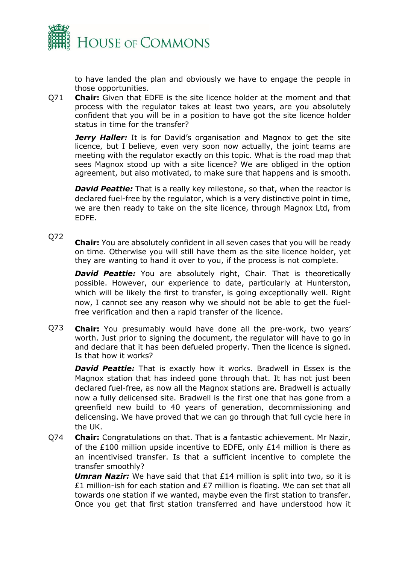

to have landed the plan and obviously we have to engage the people in those opportunities.

Q71 **Chair:** Given that EDFE is the site licence holder at the moment and that process with the regulator takes at least two years, are you absolutely confident that you will be in a position to have got the site licence holder status in time for the transfer?

**Jerry Haller:** It is for David's organisation and Magnox to get the site licence, but I believe, even very soon now actually, the joint teams are meeting with the regulator exactly on this topic. What is the road map that sees Magnox stood up with a site licence? We are obliged in the option agreement, but also motivated, to make sure that happens and is smooth.

**David Peattie:** That is a really key milestone, so that, when the reactor is declared fuel-free by the regulator, which is a very distinctive point in time, we are then ready to take on the site licence, through Magnox Ltd, from EDFE.

### Q72

**Chair:** You are absolutely confident in all seven cases that you will be ready on time. Otherwise you will still have them as the site licence holder, yet they are wanting to hand it over to you, if the process is not complete.

**David Peattie:** You are absolutely right, Chair. That is theoretically possible. However, our experience to date, particularly at Hunterston, which will be likely the first to transfer, is going exceptionally well. Right now, I cannot see any reason why we should not be able to get the fuelfree verification and then a rapid transfer of the licence.

Q73 **Chair:** You presumably would have done all the pre-work, two years' worth. Just prior to signing the document, the regulator will have to go in and declare that it has been defueled properly. Then the licence is signed. Is that how it works?

**David Peattie:** That is exactly how it works. Bradwell in Essex is the Magnox station that has indeed gone through that. It has not just been declared fuel-free, as now all the Magnox stations are. Bradwell is actually now a fully delicensed site. Bradwell is the first one that has gone from a greenfield new build to 40 years of generation, decommissioning and delicensing. We have proved that we can go through that full cycle here in the UK.

Q74 **Chair:** Congratulations on that. That is a fantastic achievement. Mr Nazir, of the £100 million upside incentive to EDFE, only £14 million is there as an incentivised transfer. Is that a sufficient incentive to complete the transfer smoothly?

*Umran Nazir:* We have said that that £14 million is split into two, so it is £1 million-ish for each station and £7 million is floating. We can set that all towards one station if we wanted, maybe even the first station to transfer. Once you get that first station transferred and have understood how it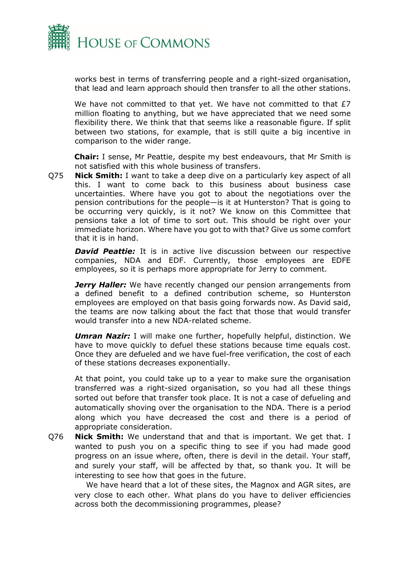

works best in terms of transferring people and a right-sized organisation, that lead and learn approach should then transfer to all the other stations.

We have not committed to that yet. We have not committed to that £7 million floating to anything, but we have appreciated that we need some flexibility there. We think that that seems like a reasonable figure. If split between two stations, for example, that is still quite a big incentive in comparison to the wider range.

**Chair:** I sense, Mr Peattie, despite my best endeavours, that Mr Smith is not satisfied with this whole business of transfers.

Q75 **Nick Smith:** I want to take a deep dive on a particularly key aspect of all this. I want to come back to this business about business case uncertainties. Where have you got to about the negotiations over the pension contributions for the people—is it at Hunterston? That is going to be occurring very quickly, is it not? We know on this Committee that pensions take a lot of time to sort out. This should be right over your immediate horizon. Where have you got to with that? Give us some comfort that it is in hand.

**David Peattie:** It is in active live discussion between our respective companies, NDA and EDF. Currently, those employees are EDFE employees, so it is perhaps more appropriate for Jerry to comment.

*Jerry Haller:* We have recently changed our pension arrangements from a defined benefit to a defined contribution scheme, so Hunterston employees are employed on that basis going forwards now. As David said, the teams are now talking about the fact that those that would transfer would transfer into a new NDA-related scheme.

*Umran Nazir:* I will make one further, hopefully helpful, distinction. We have to move quickly to defuel these stations because time equals cost. Once they are defueled and we have fuel-free verification, the cost of each of these stations decreases exponentially.

At that point, you could take up to a year to make sure the organisation transferred was a right-sized organisation, so you had all these things sorted out before that transfer took place. It is not a case of defueling and automatically shoving over the organisation to the NDA. There is a period along which you have decreased the cost and there is a period of appropriate consideration.

Q76 **Nick Smith:** We understand that and that is important. We get that. I wanted to push you on a specific thing to see if you had made good progress on an issue where, often, there is devil in the detail. Your staff, and surely your staff, will be affected by that, so thank you. It will be interesting to see how that goes in the future.

We have heard that a lot of these sites, the Magnox and AGR sites, are very close to each other. What plans do you have to deliver efficiencies across both the decommissioning programmes, please?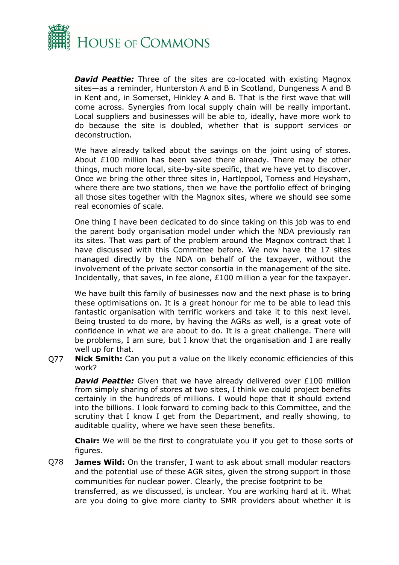

*David Peattie:* Three of the sites are co-located with existing Magnox sites—as a reminder, Hunterston A and B in Scotland, Dungeness A and B in Kent and, in Somerset, Hinkley A and B. That is the first wave that will come across. Synergies from local supply chain will be really important. Local suppliers and businesses will be able to, ideally, have more work to do because the site is doubled, whether that is support services or deconstruction.

We have already talked about the savings on the joint using of stores. About £100 million has been saved there already. There may be other things, much more local, site-by-site specific, that we have yet to discover. Once we bring the other three sites in, Hartlepool, Torness and Heysham, where there are two stations, then we have the portfolio effect of bringing all those sites together with the Magnox sites, where we should see some real economies of scale.

One thing I have been dedicated to do since taking on this job was to end the parent body organisation model under which the NDA previously ran its sites. That was part of the problem around the Magnox contract that I have discussed with this Committee before. We now have the 17 sites managed directly by the NDA on behalf of the taxpayer, without the involvement of the private sector consortia in the management of the site. Incidentally, that saves, in fee alone, £100 million a year for the taxpayer.

We have built this family of businesses now and the next phase is to bring these optimisations on. It is a great honour for me to be able to lead this fantastic organisation with terrific workers and take it to this next level. Being trusted to do more, by having the AGRs as well, is a great vote of confidence in what we are about to do. It is a great challenge. There will be problems, I am sure, but I know that the organisation and I are really well up for that.

Q77 **Nick Smith:** Can you put a value on the likely economic efficiencies of this work?

**David Peattie:** Given that we have already delivered over £100 million from simply sharing of stores at two sites, I think we could project benefits certainly in the hundreds of millions. I would hope that it should extend into the billions. I look forward to coming back to this Committee, and the scrutiny that I know I get from the Department, and really showing, to auditable quality, where we have seen these benefits.

**Chair:** We will be the first to congratulate you if you get to those sorts of figures.

Q78 **James Wild:** On the transfer, I want to ask about small modular reactors and the potential use of these AGR sites, given the strong support in those communities for nuclear power. Clearly, the precise footprint to be transferred, as we discussed, is unclear. You are working hard at it. What are you doing to give more clarity to SMR providers about whether it is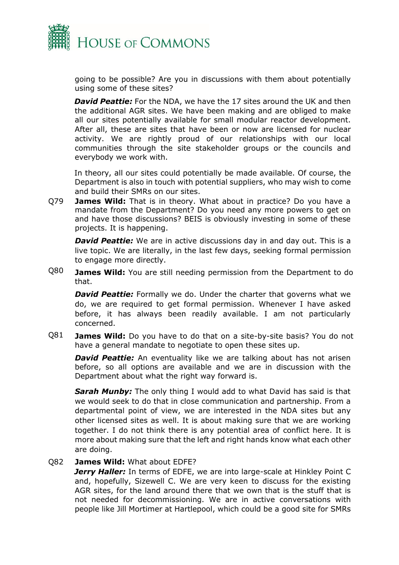

going to be possible? Are you in discussions with them about potentially using some of these sites?

*David Peattie:* For the NDA, we have the 17 sites around the UK and then the additional AGR sites. We have been making and are obliged to make all our sites potentially available for small modular reactor development. After all, these are sites that have been or now are licensed for nuclear activity. We are rightly proud of our relationships with our local communities through the site stakeholder groups or the councils and everybody we work with.

In theory, all our sites could potentially be made available. Of course, the Department is also in touch with potential suppliers, who may wish to come and build their SMRs on our sites.

Q79 **James Wild:** That is in theory. What about in practice? Do you have a mandate from the Department? Do you need any more powers to get on and have those discussions? BEIS is obviously investing in some of these projects. It is happening.

*David Peattie:* We are in active discussions day in and day out. This is a live topic. We are literally, in the last few days, seeking formal permission to engage more directly.

Q80 **James Wild:** You are still needing permission from the Department to do that.

**David Peattie:** Formally we do. Under the charter that governs what we do, we are required to get formal permission. Whenever I have asked before, it has always been readily available. I am not particularly concerned.

Q81 **James Wild:** Do you have to do that on a site-by-site basis? You do not have a general mandate to negotiate to open these sites up.

**David Peattie:** An eventuality like we are talking about has not arisen before, so all options are available and we are in discussion with the Department about what the right way forward is.

*Sarah Munby:* The only thing I would add to what David has said is that we would seek to do that in close communication and partnership. From a departmental point of view, we are interested in the NDA sites but any other licensed sites as well. It is about making sure that we are working together. I do not think there is any potential area of conflict here. It is more about making sure that the left and right hands know what each other are doing.

#### Q82 **James Wild:** What about EDFE?

*Jerry Haller:* In terms of EDFE, we are into large-scale at Hinkley Point C and, hopefully, Sizewell C. We are very keen to discuss for the existing AGR sites, for the land around there that we own that is the stuff that is not needed for decommissioning. We are in active conversations with people like Jill Mortimer at Hartlepool, which could be a good site for SMRs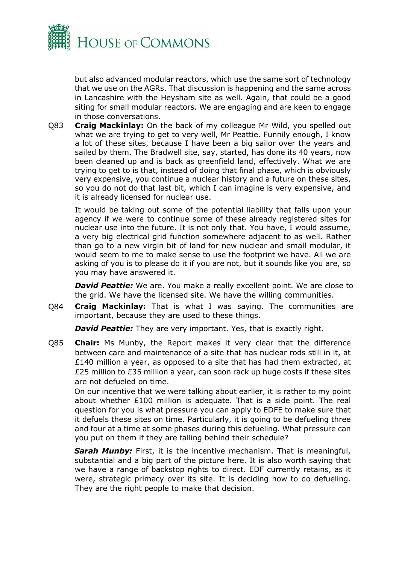

but also advanced modular reactors, which use the same sort of technology that we use on the AGRs. That discussion is happening and the same across in Lancashire with the Heysham site as well. Again, that could be a good siting for small modular reactors. We are engaging and are keen to engage in those conversations.

Q83 **Craig Mackinlay:** On the back of my colleague Mr Wild, you spelled out what we are trying to get to very well, Mr Peattie. Funnily enough, I know a lot of these sites, because I have been a big sailor over the years and sailed by them. The Bradwell site, say, started, has done its 40 years, now been cleaned up and is back as greenfield land, effectively. What we are trying to get to is that, instead of doing that final phase, which is obviously very expensive, you continue a nuclear history and a future on these sites, so you do not do that last bit, which I can imagine is very expensive, and it is already licensed for nuclear use.

It would be taking out some of the potential liability that falls upon your agency if we were to continue some of these already registered sites for nuclear use into the future. It is not only that. You have, I would assume, a very big electrical grid function somewhere adjacent to as well. Rather than go to a new virgin bit of land for new nuclear and small modular, it would seem to me to make sense to use the footprint we have. All we are asking of you is to please do it if you are not, but it sounds like you are, so you may have answered it.

**David Peattie:** We are. You make a really excellent point. We are close to the grid. We have the licensed site. We have the willing communities.

Q84 **Craig Mackinlay:** That is what I was saying. The communities are important, because they are used to these things.

*David Peattie:* They are very important. Yes, that is exactly right.

Q85 **Chair:** Ms Munby, the Report makes it very clear that the difference between care and maintenance of a site that has nuclear rods still in it, at £140 million a year, as opposed to a site that has had them extracted, at £25 million to £35 million a year, can soon rack up huge costs if these sites are not defueled on time.

On our incentive that we were talking about earlier, it is rather to my point about whether  $£100$  million is adequate. That is a side point. The real question for you is what pressure you can apply to EDFE to make sure that it defuels these sites on time. Particularly, it is going to be defueling three and four at a time at some phases during this defueling. What pressure can you put on them if they are falling behind their schedule?

**Sarah Munby:** First, it is the incentive mechanism. That is meaningful, substantial and a big part of the picture here. It is also worth saying that we have a range of backstop rights to direct. EDF currently retains, as it were, strategic primacy over its site. It is deciding how to do defueling. They are the right people to make that decision.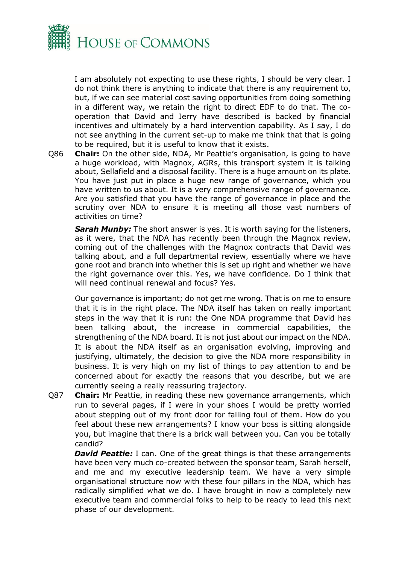

I am absolutely not expecting to use these rights, I should be very clear. I do not think there is anything to indicate that there is any requirement to, but, if we can see material cost saving opportunities from doing something in a different way, we retain the right to direct EDF to do that. The cooperation that David and Jerry have described is backed by financial incentives and ultimately by a hard intervention capability. As I say, I do not see anything in the current set-up to make me think that that is going to be required, but it is useful to know that it exists.

Q86 **Chair:** On the other side, NDA, Mr Peattie's organisation, is going to have a huge workload, with Magnox, AGRs, this transport system it is talking about, Sellafield and a disposal facility. There is a huge amount on its plate. You have just put in place a huge new range of governance, which you have written to us about. It is a very comprehensive range of governance. Are you satisfied that you have the range of governance in place and the scrutiny over NDA to ensure it is meeting all those vast numbers of activities on time?

**Sarah Munby:** The short answer is yes. It is worth saying for the listeners, as it were, that the NDA has recently been through the Magnox review, coming out of the challenges with the Magnox contracts that David was talking about, and a full departmental review, essentially where we have gone root and branch into whether this is set up right and whether we have the right governance over this. Yes, we have confidence. Do I think that will need continual renewal and focus? Yes.

Our governance is important; do not get me wrong. That is on me to ensure that it is in the right place. The NDA itself has taken on really important steps in the way that it is run: the One NDA programme that David has been talking about, the increase in commercial capabilities, the strengthening of the NDA board. It is not just about our impact on the NDA. It is about the NDA itself as an organisation evolving, improving and justifying, ultimately, the decision to give the NDA more responsibility in business. It is very high on my list of things to pay attention to and be concerned about for exactly the reasons that you describe, but we are currently seeing a really reassuring trajectory.

Q87 **Chair:** Mr Peattie, in reading these new governance arrangements, which run to several pages, if I were in your shoes I would be pretty worried about stepping out of my front door for falling foul of them. How do you feel about these new arrangements? I know your boss is sitting alongside you, but imagine that there is a brick wall between you. Can you be totally candid?

*David Peattie:* I can. One of the great things is that these arrangements have been very much co-created between the sponsor team, Sarah herself, and me and my executive leadership team. We have a very simple organisational structure now with these four pillars in the NDA, which has radically simplified what we do. I have brought in now a completely new executive team and commercial folks to help to be ready to lead this next phase of our development.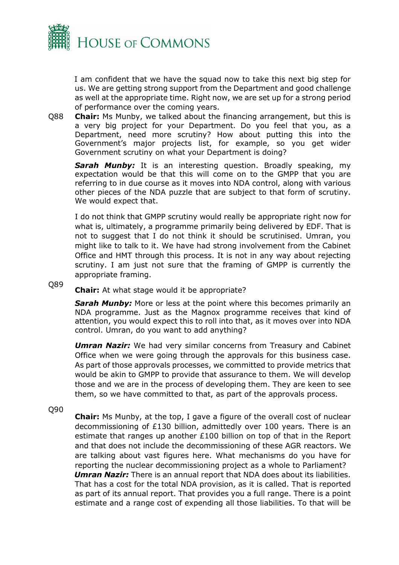

I am confident that we have the squad now to take this next big step for us. We are getting strong support from the Department and good challenge as well at the appropriate time. Right now, we are set up for a strong period of performance over the coming years.

Q88 **Chair:** Ms Munby, we talked about the financing arrangement, but this is a very big project for your Department. Do you feel that you, as a Department, need more scrutiny? How about putting this into the Government's major projects list, for example, so you get wider Government scrutiny on what your Department is doing?

**Sarah Munby:** It is an interesting question. Broadly speaking, my expectation would be that this will come on to the GMPP that you are referring to in due course as it moves into NDA control, along with various other pieces of the NDA puzzle that are subject to that form of scrutiny. We would expect that.

I do not think that GMPP scrutiny would really be appropriate right now for what is, ultimately, a programme primarily being delivered by EDF. That is not to suggest that I do not think it should be scrutinised. Umran, you might like to talk to it. We have had strong involvement from the Cabinet Office and HMT through this process. It is not in any way about rejecting scrutiny. I am just not sure that the framing of GMPP is currently the appropriate framing.

Q89 **Chair:** At what stage would it be appropriate?

> **Sarah Munby:** More or less at the point where this becomes primarily an NDA programme. Just as the Magnox programme receives that kind of attention, you would expect this to roll into that, as it moves over into NDA control. Umran, do you want to add anything?

> *Umran Nazir:* We had very similar concerns from Treasury and Cabinet Office when we were going through the approvals for this business case. As part of those approvals processes, we committed to provide metrics that would be akin to GMPP to provide that assurance to them. We will develop those and we are in the process of developing them. They are keen to see them, so we have committed to that, as part of the approvals process.

Q90

**Chair:** Ms Munby, at the top, I gave a figure of the overall cost of nuclear decommissioning of £130 billion, admittedly over 100 years. There is an estimate that ranges up another £100 billion on top of that in the Report and that does not include the decommissioning of these AGR reactors. We are talking about vast figures here. What mechanisms do you have for reporting the nuclear decommissioning project as a whole to Parliament?

*Umran Nazir:* There is an annual report that NDA does about its liabilities. That has a cost for the total NDA provision, as it is called. That is reported as part of its annual report. That provides you a full range. There is a point estimate and a range cost of expending all those liabilities. To that will be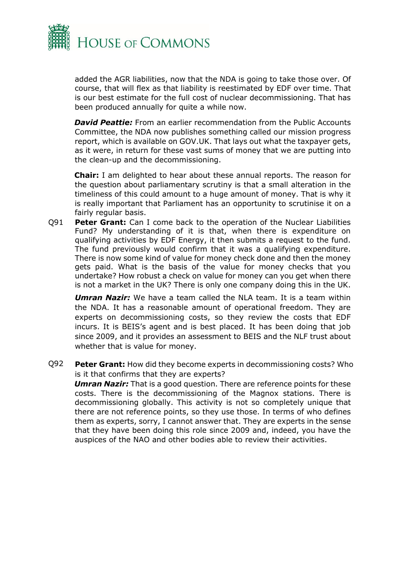

added the AGR liabilities, now that the NDA is going to take those over. Of course, that will flex as that liability is reestimated by EDF over time. That is our best estimate for the full cost of nuclear decommissioning. That has been produced annually for quite a while now.

*David Peattie:* From an earlier recommendation from the Public Accounts Committee, the NDA now publishes something called our mission progress report, which is available on GOV.UK. That lays out what the taxpayer gets, as it were, in return for these vast sums of money that we are putting into the clean-up and the decommissioning.

**Chair:** I am delighted to hear about these annual reports. The reason for the question about parliamentary scrutiny is that a small alteration in the timeliness of this could amount to a huge amount of money. That is why it is really important that Parliament has an opportunity to scrutinise it on a fairly regular basis.

Q91 **Peter Grant:** Can I come back to the operation of the Nuclear Liabilities Fund? My understanding of it is that, when there is expenditure on qualifying activities by EDF Energy, it then submits a request to the fund. The fund previously would confirm that it was a qualifying expenditure. There is now some kind of value for money check done and then the money gets paid. What is the basis of the value for money checks that you undertake? How robust a check on value for money can you get when there is not a market in the UK? There is only one company doing this in the UK.

*Umran Nazir:* We have a team called the NLA team. It is a team within the NDA. It has a reasonable amount of operational freedom. They are experts on decommissioning costs, so they review the costs that EDF incurs. It is BEIS's agent and is best placed. It has been doing that job since 2009, and it provides an assessment to BEIS and the NLF trust about whether that is value for money.

Q92 **Peter Grant:** How did they become experts in decommissioning costs? Who is it that confirms that they are experts?

*Umran Nazir:* That is a good question. There are reference points for these costs. There is the decommissioning of the Magnox stations. There is decommissioning globally. This activity is not so completely unique that there are not reference points, so they use those. In terms of who defines them as experts, sorry, I cannot answer that. They are experts in the sense that they have been doing this role since 2009 and, indeed, you have the auspices of the NAO and other bodies able to review their activities.